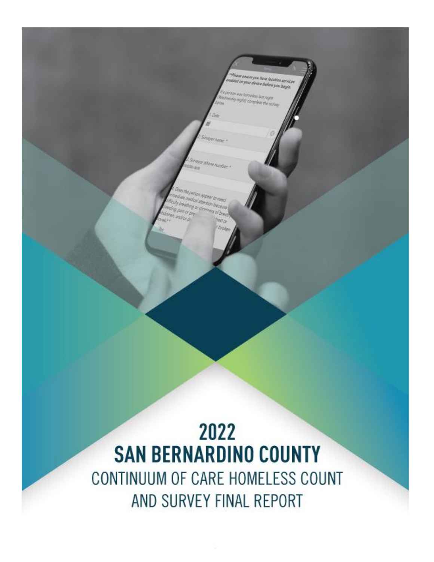# 2022 **SAN BERNARDINO COUNTY** CONTINUUM OF CARE HOMELESS COUNT AND SURVEY FINAL REPORT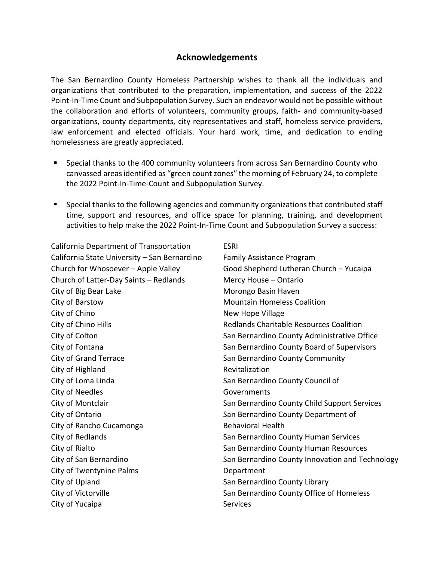#### **Acknowledgements**

The San Bernardino County Homeless Partnership wishes to thank all the individuals and organizations that contributed to the preparation, implementation, and success of the 2022 Point-In-Time Count and Subpopulation Survey. Such an endeavor would not be possible without the collaboration and efforts of volunteers, community groups, faith- and community-based organizations, county departments, city representatives and staff, homeless service providers, law enforcement and elected officials. Your hard work, time, and dedication to ending homelessness are greatly appreciated.

- Special thanks to the 400 community volunteers from across San Bernardino County who canvassed areas identified as "green count zones" the morning of February 24, to complete the 2022 Point-In-Time-Count and Subpopulation Survey.
- Special thanks to the following agencies and community organizations that contributed staff time, support and resources, and office space for planning, training, and development activities to help make the 2022 Point-In-Time Count and Subpopulation Survey a success:

California Department of Transportation California State University – San Bernardino Church for Whosoever – Apple Valley Church of Latter-Day Saints – Redlands City of Big Bear Lake City of Barstow City of Chino City of Chino Hills City of Colton City of Fontana City of Grand Terrace City of Highland City of Loma Linda City of Needles City of Montclair City of Ontario City of Rancho Cucamonga City of Redlands City of Rialto City of San Bernardino City of Twentynine Palms City of Upland City of Victorville City of Yucaipa

ESRI Family Assistance Program Good Shepherd Lutheran Church – Yucaipa Mercy House – Ontario Morongo Basin Haven Mountain Homeless Coalition New Hope Village Redlands Charitable Resources Coalition San Bernardino County Administrative Office San Bernardino County Board of Supervisors San Bernardino County Community Revitalization San Bernardino County Council of Governments San Bernardino County Child Support Services San Bernardino County Department of Behavioral Health San Bernardino County Human Services San Bernardino County Human Resources San Bernardino County Innovation and Technology Department San Bernardino County Library San Bernardino County Office of Homeless **Services**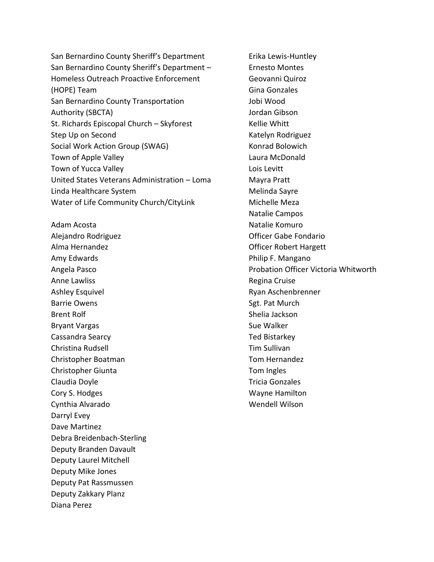San Bernardino County Sheriff's Department San Bernardino County Sheriff's Department – Homeless Outreach Proactive Enforcement (HOPE) Team San Bernardino County Transportation Authority (SBCTA) St. Richards Episcopal Church – Skyforest Step Up on Second Social Work Action Group (SWAG) Town of Apple Valley Town of Yucca Valley United States Veterans Administration – Loma Linda Healthcare System Water of Life Community Church/CityLink

Adam Acosta Alejandro Rodriguez Alma Hernandez Amy Edwards Angela Pasco Anne Lawliss Ashley Esquivel Barrie Owens Brent Rolf Bryant Vargas Cassandra Searcy Christina Rudsell Christopher Boatman Christopher Giunta Claudia Doyle Cory S. Hodges Cynthia Alvarado Darryl Evey Dave Martinez Debra Breidenbach-Sterling Deputy Branden Davault Deputy Laurel Mitchell Deputy Mike Jones Deputy Pat Rassmussen Deputy Zakkary Planz Diana Perez

Erika Lewis-Huntley Ernesto Montes Geovanni Quiroz Gina Gonzales Jobi Wood Jordan Gibson Kellie Whitt Katelyn Rodriguez Konrad Bolowich Laura McDonald Lois Levitt Mayra Pratt Melinda Sayre Michelle Meza Natalie Campos Natalie Komuro Officer Gabe Fondario Officer Robert Hargett Philip F. Mangano Probation Officer Victoria Whitworth Regina Cruise Ryan Aschenbrenner Sgt. Pat Murch Shelia Jackson Sue Walker Ted Bistarkey Tim Sullivan Tom Hernandez Tom Ingles Tricia Gonzales Wayne Hamilton Wendell Wilson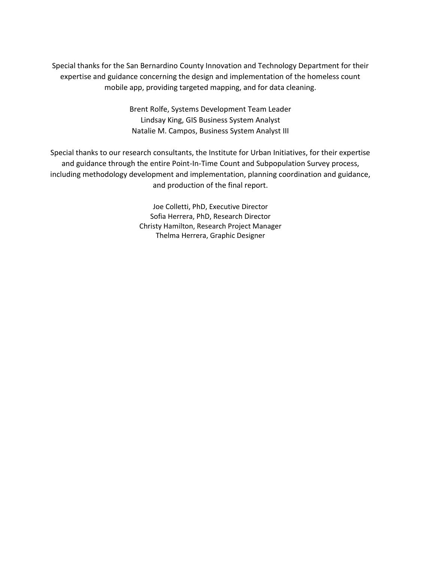Special thanks for the San Bernardino County Innovation and Technology Department for their expertise and guidance concerning the design and implementation of the homeless count mobile app, providing targeted mapping, and for data cleaning.

> Brent Rolfe, Systems Development Team Leader Lindsay King, GIS Business System Analyst Natalie M. Campos, Business System Analyst III

Special thanks to our research consultants, the Institute for Urban Initiatives, for their expertise and guidance through the entire Point-In-Time Count and Subpopulation Survey process, including methodology development and implementation, planning coordination and guidance, and production of the final report.

> Joe Colletti, PhD, Executive Director Sofia Herrera, PhD, Research Director Christy Hamilton, Research Project Manager Thelma Herrera, Graphic Designer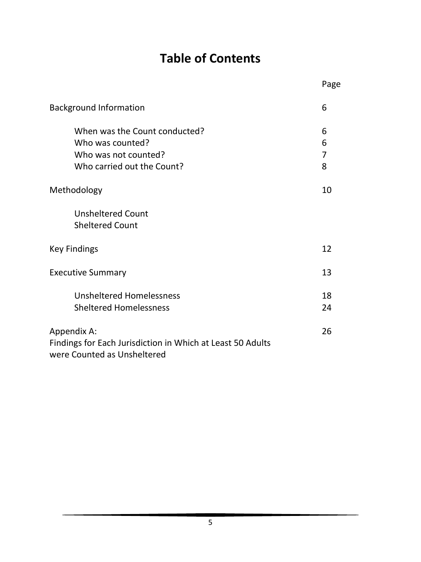# **Table of Contents**

|                                                                                                          | Page             |
|----------------------------------------------------------------------------------------------------------|------------------|
| <b>Background Information</b>                                                                            | 6                |
| When was the Count conducted?<br>Who was counted?<br>Who was not counted?<br>Who carried out the Count?  | 6<br>6<br>7<br>8 |
| Methodology                                                                                              | 10               |
| <b>Unsheltered Count</b><br><b>Sheltered Count</b>                                                       |                  |
| <b>Key Findings</b>                                                                                      | 12               |
| <b>Executive Summary</b>                                                                                 | 13               |
| <b>Unsheltered Homelessness</b><br><b>Sheltered Homelessness</b>                                         | 18<br>24         |
| Appendix A:<br>Findings for Each Jurisdiction in Which at Least 50 Adults<br>were Counted as Unsheltered | 26               |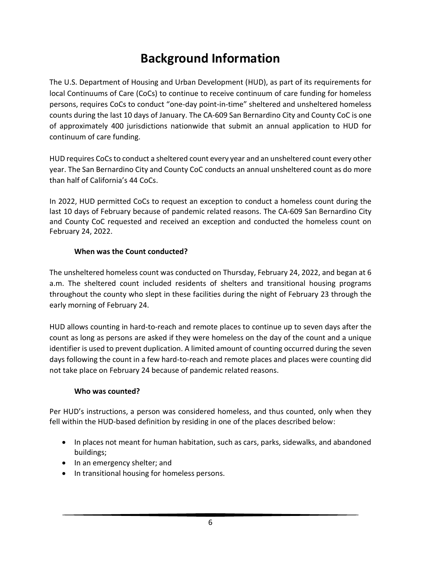# **Background Information**

The U.S. Department of Housing and Urban Development (HUD), as part of its requirements for local Continuums of Care (CoCs) to continue to receive continuum of care funding for homeless persons, requires CoCs to conduct "one-day point-in-time" sheltered and unsheltered homeless counts during the last 10 days of January. The CA-609 San Bernardino City and County CoC is one of approximately 400 jurisdictions nationwide that submit an annual application to HUD for continuum of care funding.

HUD requires CoCs to conduct a sheltered count every year and an unsheltered count every other year. The San Bernardino City and County CoC conducts an annual unsheltered count as do more than half of California's 44 CoCs.

In 2022, HUD permitted CoCs to request an exception to conduct a homeless count during the last 10 days of February because of pandemic related reasons. The CA-609 San Bernardino City and County CoC requested and received an exception and conducted the homeless count on February 24, 2022.

#### **When was the Count conducted?**

The unsheltered homeless count was conducted on Thursday, February 24, 2022, and began at 6 a.m. The sheltered count included residents of shelters and transitional housing programs throughout the county who slept in these facilities during the night of February 23 through the early morning of February 24.

HUD allows counting in hard-to-reach and remote places to continue up to seven days after the count as long as persons are asked if they were homeless on the day of the count and a unique identifier is used to prevent duplication. A limited amount of counting occurred during the seven days following the count in a few hard-to-reach and remote places and places were counting did not take place on February 24 because of pandemic related reasons.

#### **Who was counted?**

Per HUD's instructions, a person was considered homeless, and thus counted, only when they fell within the HUD-based definition by residing in one of the places described below:

- In places not meant for human habitation, such as cars, parks, sidewalks, and abandoned buildings;
- In an emergency shelter; and
- In transitional housing for homeless persons.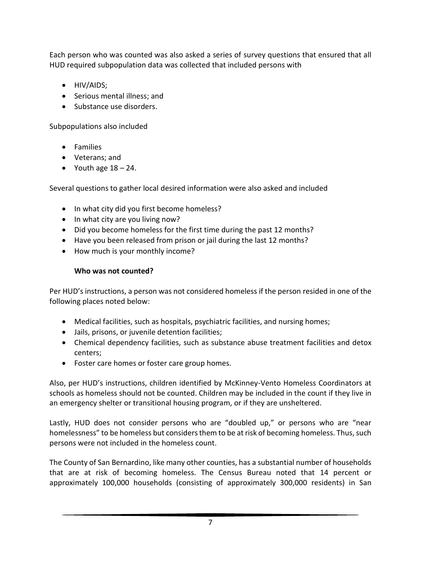Each person who was counted was also asked a series of survey questions that ensured that all HUD required subpopulation data was collected that included persons with

- HIV/AIDS;
- Serious mental illness; and
- Substance use disorders.

#### Subpopulations also included

- Families
- Veterans; and
- Youth age  $18 24$ .

Several questions to gather local desired information were also asked and included

- In what city did you first become homeless?
- In what city are you living now?
- Did you become homeless for the first time during the past 12 months?
- Have you been released from prison or jail during the last 12 months?
- How much is your monthly income?

#### **Who was not counted?**

Per HUD's instructions, a person was not considered homeless if the person resided in one of the following places noted below:

- Medical facilities, such as hospitals, psychiatric facilities, and nursing homes;
- Jails, prisons, or juvenile detention facilities;
- Chemical dependency facilities, such as substance abuse treatment facilities and detox centers;
- Foster care homes or foster care group homes.

Also, per HUD's instructions, children identified by McKinney-Vento Homeless Coordinators at schools as homeless should not be counted. Children may be included in the count if they live in an emergency shelter or transitional housing program, or if they are unsheltered.

Lastly, HUD does not consider persons who are "doubled up," or persons who are "near homelessness" to be homeless but considers them to be at risk of becoming homeless. Thus, such persons were not included in the homeless count.

The County of San Bernardino, like many other counties, has a substantial number of households that are at risk of becoming homeless. The Census Bureau noted that 14 percent or approximately 100,000 households (consisting of approximately 300,000 residents) in San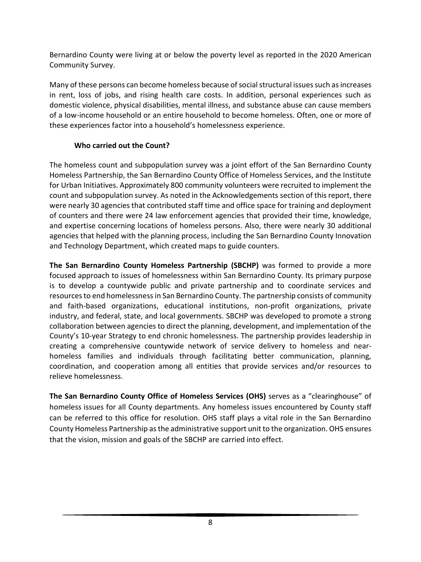Bernardino County were living at or below the poverty level as reported in the 2020 American Community Survey.

Many of these persons can become homeless because of social structural issues such as increases in rent, loss of jobs, and rising health care costs. In addition, personal experiences such as domestic violence, physical disabilities, mental illness, and substance abuse can cause members of a low-income household or an entire household to become homeless. Often, one or more of these experiences factor into a household's homelessness experience.

#### **Who carried out the Count?**

The homeless count and subpopulation survey was a joint effort of the San Bernardino County Homeless Partnership, the San Bernardino County Office of Homeless Services, and the Institute for Urban Initiatives. Approximately 800 community volunteers were recruited to implement the count and subpopulation survey. As noted in the Acknowledgements section of this report, there were nearly 30 agencies that contributed staff time and office space for training and deployment of counters and there were 24 law enforcement agencies that provided their time, knowledge, and expertise concerning locations of homeless persons. Also, there were nearly 30 additional agencies that helped with the planning process, including the San Bernardino County Innovation and Technology Department, which created maps to guide counters.

**The San Bernardino County Homeless Partnership (SBCHP)** was formed to provide a more focused approach to issues of homelessness within San Bernardino County. Its primary purpose is to develop a countywide public and private partnership and to coordinate services and resources to end homelessness in San Bernardino County. The partnership consists of community and faith-based organizations, educational institutions, non-profit organizations, private industry, and federal, state, and local governments. SBCHP was developed to promote a strong collaboration between agencies to direct the planning, development, and implementation of the County's 10-year Strategy to end chronic homelessness. The partnership provides leadership in creating a comprehensive countywide network of service delivery to homeless and nearhomeless families and individuals through facilitating better communication, planning, coordination, and cooperation among all entities that provide services and/or resources to relieve homelessness.

**The San Bernardino County Office of Homeless Services (OHS)** serves as a "clearinghouse" of homeless issues for all County departments. Any homeless issues encountered by County staff can be referred to this office for resolution. OHS staff plays a vital role in the San Bernardino County Homeless Partnership as the administrative support unit to the organization. OHS ensures that the vision, mission and goals of the SBCHP are carried into effect.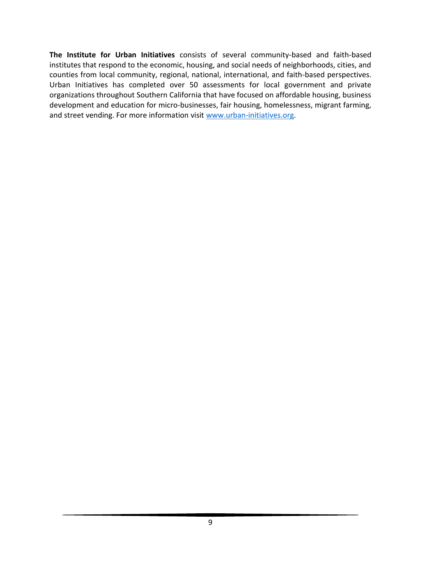**The Institute for Urban Initiatives** consists of several community-based and faith-based institutes that respond to the economic, housing, and social needs of neighborhoods, cities, and counties from local community, regional, national, international, and faith-based perspectives. Urban Initiatives has completed over 50 assessments for local government and private organizations throughout Southern California that have focused on affordable housing, business development and education for micro-businesses, fair housing, homelessness, migrant farming, and street vending. For more information visit [www.urban-initiatives.org.](http://www.urban-initiatives.org/)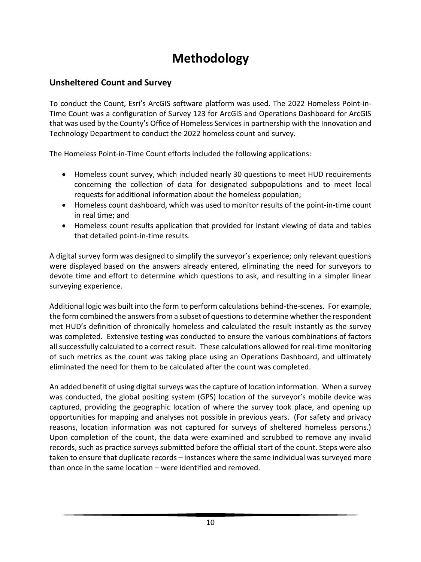# **Methodology**

# **Unsheltered Count and Survey**

To conduct the Count, Esri's ArcGIS software platform was used. The 2022 Homeless Point-in-Time Count was a configuration of Survey 123 for ArcGIS and Operations Dashboard for ArcGIS that was used by the County's Office of Homeless Services in partnership with the Innovation and Technology Department to conduct the 2022 homeless count and survey.

The Homeless Point-in-Time Count efforts included the following applications:

- Homeless count survey, which included nearly 30 questions to meet HUD requirements concerning the collection of data for designated subpopulations and to meet local requests for additional information about the homeless population;
- Homeless count dashboard, which was used to monitor results of the point-in-time count in real time; and
- Homeless count results application that provided for instant viewing of data and tables that detailed point-in-time results.

A digital survey form was designed to simplify the surveyor's experience; only relevant questions were displayed based on the answers already entered, eliminating the need for surveyors to devote time and effort to determine which questions to ask, and resulting in a simpler linear surveying experience.

Additional logic was built into the form to perform calculations behind-the-scenes. For example, the form combined the answers from a subset of questions to determine whether the respondent met HUD's definition of chronically homeless and calculated the result instantly as the survey was completed. Extensive testing was conducted to ensure the various combinations of factors all successfully calculated to a correct result. These calculations allowed for real-time monitoring of such metrics as the count was taking place using an Operations Dashboard, and ultimately eliminated the need for them to be calculated after the count was completed.

An added benefit of using digital surveys was the capture of location information. When a survey was conducted, the global positing system (GPS) location of the surveyor's mobile device was captured, providing the geographic location of where the survey took place, and opening up opportunities for mapping and analyses not possible in previous years. (For safety and privacy reasons, location information was not captured for surveys of sheltered homeless persons.) Upon completion of the count, the data were examined and scrubbed to remove any invalid records, such as practice surveys submitted before the official start of the count. Steps were also taken to ensure that duplicate records – instances where the same individual was surveyed more than once in the same location – were identified and removed.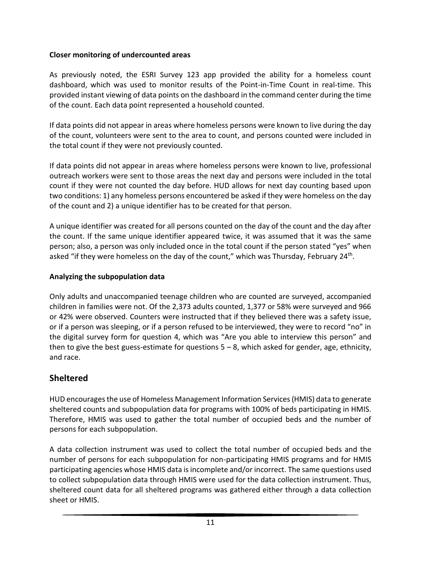#### **Closer monitoring of undercounted areas**

As previously noted, the ESRI Survey 123 app provided the ability for a homeless count dashboard, which was used to monitor results of the Point-in-Time Count in real-time. This provided instant viewing of data points on the dashboard in the command center during the time of the count. Each data point represented a household counted.

If data points did not appear in areas where homeless persons were known to live during the day of the count, volunteers were sent to the area to count, and persons counted were included in the total count if they were not previously counted.

If data points did not appear in areas where homeless persons were known to live, professional outreach workers were sent to those areas the next day and persons were included in the total count if they were not counted the day before. HUD allows for next day counting based upon two conditions: 1) any homeless persons encountered be asked if they were homeless on the day of the count and 2) a unique identifier has to be created for that person.

A unique identifier was created for all persons counted on the day of the count and the day after the count. If the same unique identifier appeared twice, it was assumed that it was the same person; also, a person was only included once in the total count if the person stated "yes" when asked "if they were homeless on the day of the count," which was Thursday, February 24<sup>th</sup>.

#### **Analyzing the subpopulation data**

Only adults and unaccompanied teenage children who are counted are surveyed, accompanied children in families were not. Of the 2,373 adults counted, 1,377 or 58% were surveyed and 966 or 42% were observed. Counters were instructed that if they believed there was a safety issue, or if a person was sleeping, or if a person refused to be interviewed, they were to record "no" in the digital survey form for question 4, which was "Are you able to interview this person" and then to give the best guess-estimate for questions  $5 - 8$ , which asked for gender, age, ethnicity, and race.

### **Sheltered**

HUD encourages the use of Homeless Management Information Services (HMIS) data to generate sheltered counts and subpopulation data for programs with 100% of beds participating in HMIS. Therefore, HMIS was used to gather the total number of occupied beds and the number of persons for each subpopulation.

A data collection instrument was used to collect the total number of occupied beds and the number of persons for each subpopulation for non-participating HMIS programs and for HMIS participating agencies whose HMIS data is incomplete and/or incorrect. The same questions used to collect subpopulation data through HMIS were used for the data collection instrument. Thus, sheltered count data for all sheltered programs was gathered either through a data collection sheet or HMIS.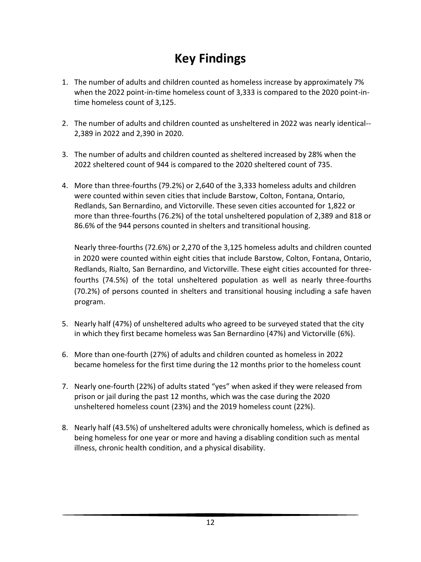# **Key Findings**

- 1. The number of adults and children counted as homeless increase by approximately 7% when the 2022 point-in-time homeless count of 3,333 is compared to the 2020 point-intime homeless count of 3,125.
- 2. The number of adults and children counted as unsheltered in 2022 was nearly identical-- 2,389 in 2022 and 2,390 in 2020.
- 3. The number of adults and children counted as sheltered increased by 28% when the 2022 sheltered count of 944 is compared to the 2020 sheltered count of 735.
- 4. More than three-fourths (79.2%) or 2,640 of the 3,333 homeless adults and children were counted within seven cities that include Barstow, Colton, Fontana, Ontario, Redlands, San Bernardino, and Victorville. These seven cities accounted for 1,822 or more than three-fourths (76.2%) of the total unsheltered population of 2,389 and 818 or 86.6% of the 944 persons counted in shelters and transitional housing.

Nearly three-fourths (72.6%) or 2,270 of the 3,125 homeless adults and children counted in 2020 were counted within eight cities that include Barstow, Colton, Fontana, Ontario, Redlands, Rialto, San Bernardino, and Victorville. These eight cities accounted for threefourths (74.5%) of the total unsheltered population as well as nearly three-fourths (70.2%) of persons counted in shelters and transitional housing including a safe haven program.

- 5. Nearly half (47%) of unsheltered adults who agreed to be surveyed stated that the city in which they first became homeless was San Bernardino (47%) and Victorville (6%).
- 6. More than one-fourth (27%) of adults and children counted as homeless in 2022 became homeless for the first time during the 12 months prior to the homeless count
- 7. Nearly one-fourth (22%) of adults stated "yes" when asked if they were released from prison or jail during the past 12 months, which was the case during the 2020 unsheltered homeless count (23%) and the 2019 homeless count (22%).
- 8. Nearly half (43.5%) of unsheltered adults were chronically homeless, which is defined as being homeless for one year or more and having a disabling condition such as mental illness, chronic health condition, and a physical disability.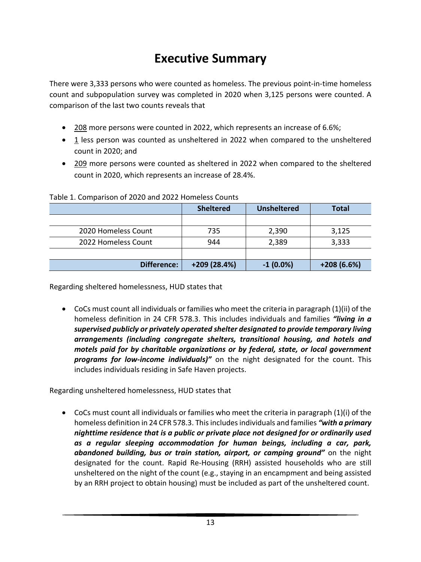# **Executive Summary**

There were 3,333 persons who were counted as homeless. The previous point-in-time homeless count and subpopulation survey was completed in 2020 when 3,125 persons were counted. A comparison of the last two counts reveals that

- 208 more persons were counted in 2022, which represents an increase of 6.6%;
- 1 less person was counted as unsheltered in 2022 when compared to the unsheltered count in 2020; and
- 209 more persons were counted as sheltered in 2022 when compared to the sheltered count in 2020, which represents an increase of 28.4%.

|                     | <b>Sheltered</b> | <b>Unsheltered</b> | <b>Total</b> |  |  |  |  |  |  |  |
|---------------------|------------------|--------------------|--------------|--|--|--|--|--|--|--|
|                     |                  |                    |              |  |  |  |  |  |  |  |
| 2020 Homeless Count | 735              | 2,390              | 3,125        |  |  |  |  |  |  |  |
| 2022 Homeless Count | 944              | 2,389              | 3,333        |  |  |  |  |  |  |  |
|                     |                  |                    |              |  |  |  |  |  |  |  |
| Difference:         | +209 (28.4%)     | $-1(0.0\%)$        | $+208(6.6%)$ |  |  |  |  |  |  |  |

#### Table 1. Comparison of 2020 and 2022 Homeless Counts

Regarding sheltered homelessness, HUD states that

• CoCs must count all individuals or families who meet the criteria in paragraph (1)(ii) of the homeless definition in 24 CFR 578.3. This includes individuals and families *"living in a supervised publicly or privately operated shelter designated to provide temporary living arrangements (including congregate shelters, transitional housing, and hotels and motels paid for by charitable organizations or by federal, state, or local government programs for low-income individuals)"* on the night designated for the count. This includes individuals residing in Safe Haven projects.

Regarding unsheltered homelessness, HUD states that

• CoCs must count all individuals or families who meet the criteria in paragraph (1)(i) of the homeless definition in 24 CFR 578.3. This includes individuals and families *"with a primary nighttime residence that is a public or private place not designed for or ordinarily used as a regular sleeping accommodation for human beings, including a car, park, abandoned building, bus or train station, airport, or camping ground"* on the night designated for the count. Rapid Re-Housing (RRH) assisted households who are still unsheltered on the night of the count (e.g., staying in an encampment and being assisted by an RRH project to obtain housing) must be included as part of the unsheltered count.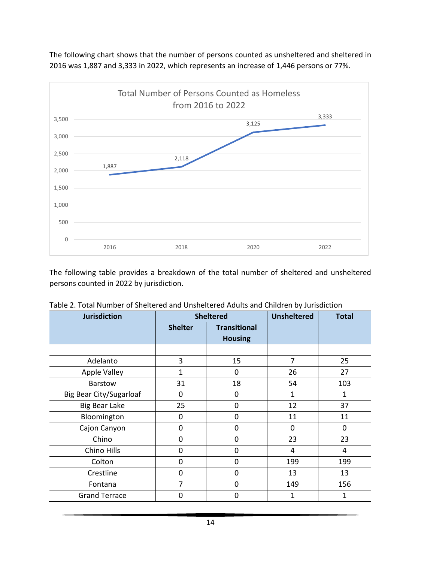

The following chart shows that the number of persons counted as unsheltered and sheltered in 2016 was 1,887 and 3,333 in 2022, which represents an increase of 1,446 persons or 77%.

The following table provides a breakdown of the total number of sheltered and unsheltered persons counted in 2022 by jurisdiction.

| <b>Jurisdiction</b>            |                                                         | <b>Sheltered</b> | <b>Unsheltered</b> | <b>Total</b> |
|--------------------------------|---------------------------------------------------------|------------------|--------------------|--------------|
|                                | <b>Shelter</b><br><b>Transitional</b><br><b>Housing</b> |                  |                    |              |
|                                |                                                         |                  |                    |              |
| Adelanto                       | 3                                                       | 15               | 7                  | 25           |
| <b>Apple Valley</b>            | 1                                                       | 0                | 26                 | 27           |
| <b>Barstow</b>                 | 31                                                      | 18               | 54                 | 103          |
| <b>Big Bear City/Sugarloaf</b> | $\mathbf 0$                                             | $\Omega$         | 1                  | 1            |
| <b>Big Bear Lake</b>           | 25                                                      | $\mathbf 0$      | 12                 | 37           |
| Bloomington                    | $\mathbf 0$                                             | 0                | 11                 | 11           |
| Cajon Canyon                   | $\mathbf 0$                                             | 0                | 0                  | 0            |
| Chino                          | $\mathbf 0$                                             | 0                | 23                 | 23           |
| Chino Hills                    | $\mathbf 0$                                             | 0                | 4                  | 4            |
| Colton                         | $\mathbf 0$                                             | 0                | 199                | 199          |
| Crestline                      | $\mathbf 0$                                             | $\Omega$         | 13                 | 13           |
| Fontana                        | 7                                                       | 0                | 149                | 156          |
| <b>Grand Terrace</b>           | $\mathbf 0$                                             | 0                | 1                  | 1            |

|  |  | Table 2. Total Number of Sheltered and Unsheltered Adults and Children by Jurisdiction |  |  |  |  |
|--|--|----------------------------------------------------------------------------------------|--|--|--|--|
|--|--|----------------------------------------------------------------------------------------|--|--|--|--|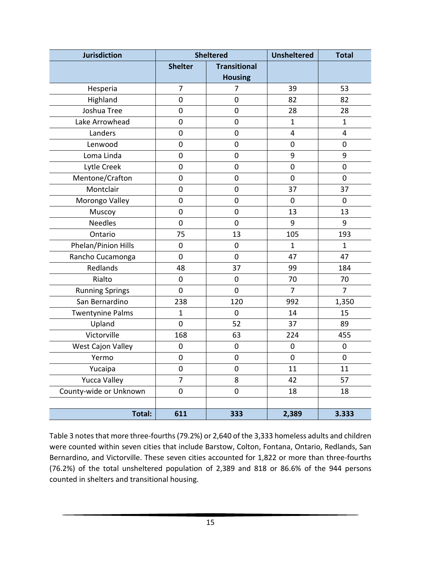| <b>Jurisdiction</b>     |                | <b>Sheltered</b>    | <b>Unsheltered</b>      | <b>Total</b>        |
|-------------------------|----------------|---------------------|-------------------------|---------------------|
|                         | <b>Shelter</b> | <b>Transitional</b> |                         |                     |
|                         |                | <b>Housing</b>      |                         |                     |
| Hesperia                | $\overline{7}$ | 7                   | 39                      | 53                  |
| Highland                | $\mathbf 0$    | $\mathbf 0$         | 82                      | 82                  |
| Joshua Tree             | $\mathbf 0$    | $\mathbf 0$         | 28                      | 28                  |
| Lake Arrowhead          | $\pmb{0}$      | 0                   | $\mathbf{1}$            | $\mathbf{1}$        |
| Landers                 | $\mathbf 0$    | $\mathbf 0$         | $\overline{\mathbf{4}}$ | 4                   |
| Lenwood                 | $\mathbf 0$    | $\boldsymbol{0}$    | $\mathbf 0$             | $\mathbf 0$         |
| Loma Linda              | $\mathbf 0$    | $\pmb{0}$           | 9                       | 9                   |
| Lytle Creek             | $\mathbf 0$    | $\pmb{0}$           | $\mathbf 0$             | $\mathsf{O}\xspace$ |
| Mentone/Crafton         | $\mathbf 0$    | $\pmb{0}$           | $\mathbf 0$             | $\mathbf 0$         |
| Montclair               | $\mathbf 0$    | $\mathbf 0$         | 37                      | 37                  |
| Morongo Valley          | $\mathbf 0$    | $\mathbf 0$         | $\mathbf 0$             | $\mathbf 0$         |
| Muscoy                  | $\mathbf 0$    | 0                   | 13                      | 13                  |
| <b>Needles</b>          | $\mathbf 0$    | $\mathbf 0$         | 9                       | 9                   |
| Ontario                 | 75             | 13                  | 105                     | 193                 |
| Phelan/Pinion Hills     | $\mathbf 0$    | 0                   | $\mathbf{1}$            | $\mathbf{1}$        |
| Rancho Cucamonga        | $\mathbf 0$    | $\mathbf 0$         | 47                      | 47                  |
| Redlands                | 48             | 37                  | 99                      | 184                 |
| Rialto                  | $\mathbf 0$    | $\mathbf 0$         | 70                      | 70                  |
| <b>Running Springs</b>  | 0              | $\mathbf 0$         | $\overline{7}$          | $\overline{7}$      |
| San Bernardino          | 238            | 120                 | 992                     | 1,350               |
| <b>Twentynine Palms</b> | $\mathbf 1$    | $\mathbf 0$         | 14                      | 15                  |
| Upland                  | $\mathbf 0$    | 52                  | 37                      | 89                  |
| Victorville             | 168            | 63                  | 224                     | 455                 |
| West Cajon Valley       | 0              | $\pmb{0}$           | $\mathbf 0$             | $\pmb{0}$           |
| Yermo                   | 0              | 0                   | $\pmb{0}$               | $\pmb{0}$           |
| Yucaipa                 | $\pmb{0}$      | 0                   | 11                      | 11                  |
| <b>Yucca Valley</b>     | 7              | 8                   | 42                      | 57                  |
| County-wide or Unknown  | $\pmb{0}$      | 0                   | 18                      | 18                  |
|                         |                |                     |                         |                     |
| Total:                  | 611            | 333                 | 2,389                   | 3.333               |

Table 3 notes that more three-fourths(79.2%) or 2,640 of the 3,333 homeless adults and children were counted within seven cities that include Barstow, Colton, Fontana, Ontario, Redlands, San Bernardino, and Victorville. These seven cities accounted for 1,822 or more than three-fourths (76.2%) of the total unsheltered population of 2,389 and 818 or 86.6% of the 944 persons counted in shelters and transitional housing.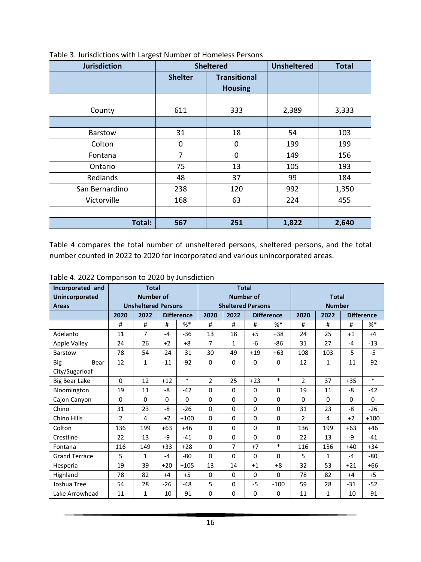| <b>Jurisdiction</b> |                | <b>Sheltered</b>                      | <b>Unsheltered</b> | <b>Total</b> |
|---------------------|----------------|---------------------------------------|--------------------|--------------|
|                     | <b>Shelter</b> | <b>Transitional</b><br><b>Housing</b> |                    |              |
|                     |                |                                       |                    |              |
| County              | 611            | 333                                   | 2,389              | 3,333        |
|                     |                |                                       |                    |              |
| Barstow             | 31             | 18                                    | 54                 | 103          |
| Colton              | 0              | 0                                     | 199                | 199          |
| Fontana             | $\overline{7}$ | 0                                     | 149                | 156          |
| Ontario             | 75             | 13                                    | 105                | 193          |
| Redlands            | 48             | 37                                    | 99                 | 184          |
| San Bernardino      | 238            | 120                                   | 992                | 1,350        |
| Victorville         | 168            | 63                                    | 224                | 455          |
|                     |                |                                       |                    |              |
| Total:              | 567            | 251                                   | 1,822              | 2,640        |

Table 3. Jurisdictions with Largest Number of Homeless Persons

Table 4 compares the total number of unsheltered persons, sheltered persons, and the total number counted in 2022 to 2020 for incorporated and various unincorporated areas.

| Incorporated and      |      | <b>Total</b>               |             |                   | <b>Total</b>   |                          |                  |                   |                |               |          |                   |
|-----------------------|------|----------------------------|-------------|-------------------|----------------|--------------------------|------------------|-------------------|----------------|---------------|----------|-------------------|
| <b>Unincorporated</b> |      | <b>Number of</b>           |             |                   |                |                          | <b>Number of</b> |                   |                | <b>Total</b>  |          |                   |
| <b>Areas</b>          |      | <b>Unsheltered Persons</b> |             |                   |                | <b>Sheltered Persons</b> |                  |                   |                | <b>Number</b> |          |                   |
|                       | 2020 | 2022                       |             | <b>Difference</b> | 2020           | 2022                     |                  | <b>Difference</b> | 2020           | 2022          |          | <b>Difference</b> |
|                       | #    | #                          | #           | $%$ *             | #              | #                        | #                | $%$ *             | #              | $\#$          | #        | $%$ *             |
| Adelanto              | 11   | $\overline{7}$             | $-4$        | $-36$             | 13             | 18                       | $+5$             | $+38$             | 24             | 25            | $+1$     | $+4$              |
| <b>Apple Valley</b>   | 24   | 26                         | $+2$        | $+8$              | 7              | $\mathbf{1}$             | -6               | $-86$             | 31             | 27            | $-4$     | $-13$             |
| Barstow               | 78   | 54                         | $-24$       | $-31$             | 30             | 49                       | $+19$            | $+63$             | 108            | 103           | $-5$     | $-5$              |
| Bear<br><b>Big</b>    | 12   | $\mathbf{1}$               | $-11$       | $-92$             | 0              | $\Omega$                 | 0                | 0                 | 12             | $\mathbf{1}$  | $-11$    | $-92$             |
| City/Sugarloaf        |      |                            |             |                   |                |                          |                  |                   |                |               |          |                   |
| Big Bear Lake         | 0    | 12                         | $+12$       | $\ast$            | $\overline{2}$ | 25                       | $+23$            | $\ast$            | $\overline{2}$ | 37            | $+35$    | $\ast$            |
| Bloomington           | 19   | 11                         | -8          | $-42$             | 0              | $\Omega$                 | 0                | $\Omega$          | 19             | 11            | -8       | $-42$             |
| Cajon Canyon          | 0    | $\Omega$                   | $\mathbf 0$ | $\Omega$          | 0              | $\Omega$                 | 0                | $\Omega$          | $\Omega$       | $\Omega$      | $\Omega$ | $\Omega$          |
| Chino                 | 31   | 23                         | -8          | $-26$             | 0              | $\Omega$                 | 0                | $\Omega$          | 31             | 23            | $-8$     | $-26$             |
| Chino Hills           | 2    | 4                          | $+2$        | $+100$            | 0              | $\Omega$                 | 0                | $\Omega$          | $\mathcal{P}$  | 4             | $+2$     | $+100$            |
| Colton                | 136  | 199                        | $+63$       | $+46$             | $\Omega$       | $\Omega$                 | 0                | $\Omega$          | 136            | 199           | $+63$    | $+46$             |
| Crestline             | 22   | 13                         | -9          | $-41$             | 0              | $\Omega$                 | 0                | $\Omega$          | 22             | 13            | -9       | $-41$             |
| Fontana               | 116  | 149                        | $+33$       | $+28$             | 0              | $\overline{7}$           | $+7$             | $\ast$            | 116            | 156           | $+40$    | $+34$             |
| <b>Grand Terrace</b>  | 5    | $\mathbf{1}$               | $-4$        | -80               | 0              | $\Omega$                 | 0                | $\Omega$          | 5              | $\mathbf{1}$  | $-4$     | $-80$             |
| Hesperia              | 19   | 39                         | $+20$       | $+105$            | 13             | 14                       | $+1$             | $+8$              | 32             | 53            | $+21$    | $+66$             |
| Highland              | 78   | 82                         | $+4$        | $+5$              | 0              | $\Omega$                 | 0                | 0                 | 78             | 82            | $+4$     | $+5$              |
| Joshua Tree           | 54   | 28                         | $-26$       | $-48$             | 5              | $\Omega$                 | $-5$             | $-100$            | 59             | 28            | $-31$    | $-52$             |
| Lake Arrowhead        | 11   | $\mathbf{1}$               | $-10$       | $-91$             | 0              | $\Omega$                 | 0                | 0                 | 11             | $\mathbf{1}$  | $-10$    | $-91$             |

Table 4. 2022 Comparison to 2020 by Jurisdiction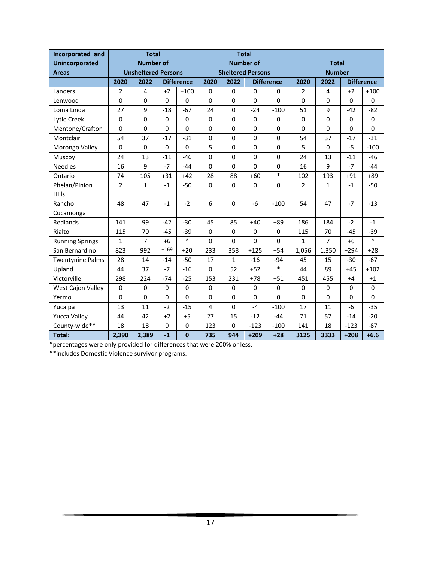| Incorporated and        |       | <b>Total</b>               |           |                   | <b>Total</b> |                          |             |                   |                |                |             |                   |
|-------------------------|-------|----------------------------|-----------|-------------------|--------------|--------------------------|-------------|-------------------|----------------|----------------|-------------|-------------------|
| <b>Unincorporated</b>   |       | <b>Number of</b>           |           |                   |              | <b>Number of</b>         |             |                   |                | <b>Total</b>   |             |                   |
| <b>Areas</b>            |       | <b>Unsheltered Persons</b> |           |                   |              | <b>Sheltered Persons</b> |             |                   | <b>Number</b>  |                |             |                   |
|                         | 2020  | 2022                       |           | <b>Difference</b> | 2020         | 2022                     |             | <b>Difference</b> | 2020           | 2022           |             | <b>Difference</b> |
| Landers                 | 2     | 4                          | $+2$      | $+100$            | 0            | 0                        | $\Omega$    | $\Omega$          | $\overline{2}$ | 4              | $+2$        | $+100$            |
| Lenwood                 | 0     | 0                          | 0         | 0                 | $\pmb{0}$    | 0                        | $\mathbf 0$ | 0                 | 0              | 0              | $\mathbf 0$ | 0                 |
| Loma Linda              | 27    | 9                          | $-18$     | $-67$             | 24           | $\Omega$                 | $-24$       | $-100$            | 51             | 9              | $-42$       | $-82$             |
| Lytle Creek             | 0     | 0                          | $\pmb{0}$ | 0                 | $\pmb{0}$    | 0                        | $\mathbf 0$ | 0                 | 0              | 0              | $\mathbf 0$ | 0                 |
| Mentone/Crafton         | 0     | 0                          | 0         | 0                 | $\pmb{0}$    | 0                        | 0           | 0                 | $\mathbf 0$    | 0              | $\mathbf 0$ | 0                 |
| Montclair               | 54    | 37                         | $-17$     | $-31$             | $\mathsf 0$  | $\mathbf 0$              | $\mathbf 0$ | 0                 | 54             | 37             | $-17$       | $-31$             |
| Morongo Valley          | 0     | $\mathbf 0$                | 0         | 0                 | 5            | 0                        | $\mathbf 0$ | 0                 | 5              | 0              | $-5$        | $-100$            |
| Muscoy                  | 24    | 13                         | $-11$     | $-46$             | 0            | $\mathbf 0$              | $\Omega$    | 0                 | 24             | 13             | $-11$       | $-46$             |
| <b>Needles</b>          | 16    | 9                          | $-7$      | $-44$             | 0            | 0                        | 0           | 0                 | 16             | 9              | $-7$        | $-44$             |
| Ontario                 | 74    | 105                        | $+31$     | $+42$             | 28           | 88                       | $+60$       | $\ast$            | 102            | 193            | $+91$       | $+89$             |
| Phelan/Pinion           | 2     | 1                          | $-1$      | $-50$             | 0            | $\Omega$                 | 0           | 0                 | 2              | 1              | $-1$        | $-50$             |
| <b>Hills</b>            |       |                            |           |                   |              |                          |             |                   |                |                |             |                   |
| Rancho                  | 48    | 47                         | $-1$      | $-2$              | 6            | $\Omega$                 | $-6$        | $-100$            | 54             | 47             | $-7$        | $-13$             |
| Cucamonga               |       |                            |           |                   |              |                          |             |                   |                |                |             |                   |
| Redlands                | 141   | 99                         | $-42$     | $-30$             | 45           | 85                       | $+40$       | $+89$             | 186            | 184            | $-2$        | $-1$              |
| Rialto                  | 115   | 70                         | $-45$     | $-39$             | $\pmb{0}$    | $\Omega$                 | $\pmb{0}$   | 0                 | 115            | 70             | $-45$       | $-39$             |
| <b>Running Springs</b>  | 1     | $\overline{7}$             | $+6$      | $\ast$            | $\Omega$     | 0                        | $\Omega$    | 0                 | $\mathbf{1}$   | $\overline{7}$ | $+6$        | $\ast$            |
| San Bernardino          | 823   | 992                        | $+169$    | $+20$             | 233          | 358                      | $+125$      | $+54$             | 1,056          | 1,350          | $+294$      | $+28$             |
| <b>Twentynine Palms</b> | 28    | 14                         | $-14$     | $-50$             | 17           | $1\,$                    | $-16$       | $-94$             | 45             | 15             | $-30$       | $-67$             |
| Upland                  | 44    | 37                         | $-7$      | $-16$             | 0            | 52                       | $+52$       | $\ast$            | 44             | 89             | $+45$       | $+102$            |
| Victorville             | 298   | 224                        | $-74$     | $-25$             | 153          | 231                      | $+78$       | $+51$             | 451            | 455            | $+4$        | $+1$              |
| West Cajon Valley       | 0     | $\mathbf 0$                | $\pmb{0}$ | 0                 | $\pmb{0}$    | 0                        | $\mathbf 0$ | 0                 | 0              | 0              | 0           | 0                 |
| Yermo                   | 0     | 0                          | 0         | 0                 | 0            | $\mathbf 0$              | $\mathbf 0$ | 0                 | 0              | 0              | $\mathbf 0$ | 0                 |
| Yucaipa                 | 13    | 11                         | $-2$      | $-15$             | 4            | 0                        | $-4$        | $-100$            | 17             | 11             | $-6$        | $-35$             |
| <b>Yucca Valley</b>     | 44    | 42                         | $+2$      | $+5$              | 27           | 15                       | $-12$       | $-44$             | 71             | 57             | $-14$       | $-20$             |
| County-wide**           | 18    | 18                         | 0         | $\Omega$          | 123          | 0                        | $-123$      | $-100$            | 141            | 18             | $-123$      | $-87$             |
| <b>Total:</b>           | 2,390 | 2,389                      | $-1$      | $\mathbf{0}$      | 735          | 944                      | $+209$      | $+28$             | 3125           | 3333           | $+208$      | $+6.6$            |

\*percentages were only provided for differences that were 200% or less.

\*\*includes Domestic Violence survivor programs.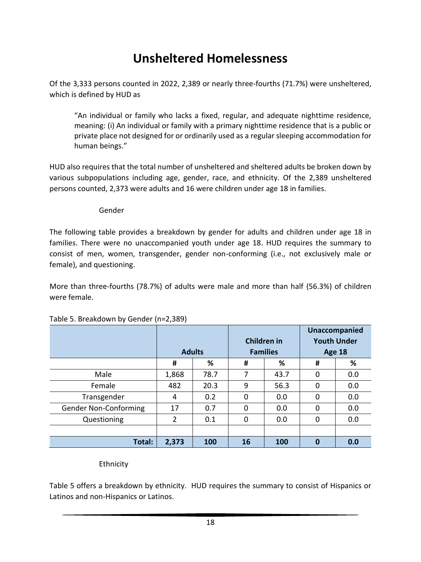# **Unsheltered Homelessness**

Of the 3,333 persons counted in 2022, 2,389 or nearly three-fourths (71.7%) were unsheltered, which is defined by HUD as

"An individual or family who lacks a fixed, regular, and adequate nighttime residence, meaning: (i) An individual or family with a primary nighttime residence that is a public or private place not designed for or ordinarily used as a regular sleeping accommodation for human beings."

HUD also requires that the total number of unsheltered and sheltered adults be broken down by various subpopulations including age, gender, race, and ethnicity. Of the 2,389 unsheltered persons counted, 2,373 were adults and 16 were children under age 18 in families.

#### Gender

The following table provides a breakdown by gender for adults and children under age 18 in families. There were no unaccompanied youth under age 18. HUD requires the summary to consist of men, women, transgender, gender non-conforming (i.e., not exclusively male or female), and questioning.

More than three-fourths (78.7%) of adults were male and more than half (56.3%) of children were female.

|                              |        |               |                    |                 |                    | <b>Unaccompanied</b> |  |
|------------------------------|--------|---------------|--------------------|-----------------|--------------------|----------------------|--|
|                              |        |               | <b>Children in</b> |                 | <b>Youth Under</b> |                      |  |
|                              |        | <b>Adults</b> |                    | <b>Families</b> | <b>Age 18</b>      |                      |  |
|                              | %<br># |               | #                  | %               | #                  | %                    |  |
| Male                         | 1,868  | 78.7          | 7                  | 43.7            | $\mathbf 0$        | 0.0                  |  |
| Female                       | 482    | 20.3          | 9                  | 56.3            | 0                  | 0.0                  |  |
| Transgender                  | 4      | 0.2           | $\Omega$           | 0.0             | 0                  | 0.0                  |  |
| <b>Gender Non-Conforming</b> | 17     | 0.7           | 0                  | 0.0             | 0                  | 0.0                  |  |
| Questioning                  | 2      | 0.1           | 0                  | 0.0             | 0                  | 0.0                  |  |
|                              |        |               |                    |                 |                    |                      |  |
| Total:                       | 2,373  | 100           | 16                 | <b>100</b>      | $\bf{0}$           | 0.0                  |  |

#### Table 5. Breakdown by Gender (n=2,389)

Ethnicity

Table 5 offers a breakdown by ethnicity. HUD requires the summary to consist of Hispanics or Latinos and non-Hispanics or Latinos.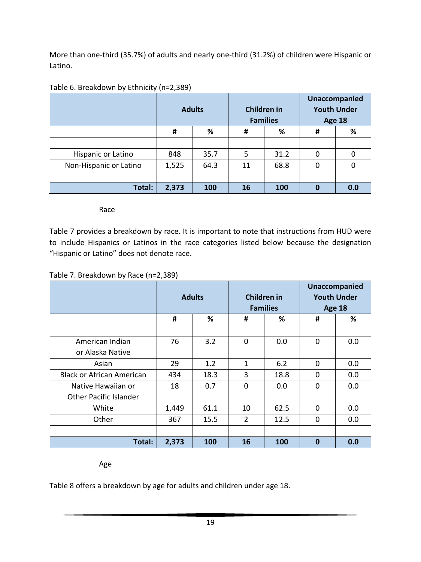More than one-third (35.7%) of adults and nearly one-third (31.2%) of children were Hispanic or Latino.

|                        | <b>Adults</b> |      | Children in | <b>Families</b> | <b>Unaccompanied</b><br><b>Youth Under</b><br><b>Age 18</b> |     |  |
|------------------------|---------------|------|-------------|-----------------|-------------------------------------------------------------|-----|--|
|                        | #             | %    | #           | %               | #                                                           | %   |  |
|                        |               |      |             |                 |                                                             |     |  |
| Hispanic or Latino     | 848           | 35.7 | 5           | 31.2            | 0                                                           | 0   |  |
| Non-Hispanic or Latino | 1,525         | 64.3 | 11          | 68.8            | 0                                                           | 0   |  |
|                        |               |      |             |                 |                                                             |     |  |
| Total:                 | 2,373         | 100  | 16          | 100             | 0                                                           | 0.0 |  |

#### Table 6. Breakdown by Ethnicity (n=2,389)

Race

Table 7 provides a breakdown by race. It is important to note that instructions from HUD were to include Hispanics or Latinos in the race categories listed below because the designation "Hispanic or Latino" does not denote race.

#### Table 7. Breakdown by Race (n=2,389)

|                                  |       | <b>Adults</b> |                | Children in<br><b>Families</b> | <b>Unaccompanied</b><br><b>Youth Under</b><br><b>Age 18</b> |     |  |
|----------------------------------|-------|---------------|----------------|--------------------------------|-------------------------------------------------------------|-----|--|
|                                  | #     | %             | #              | %                              | #                                                           | %   |  |
|                                  |       |               |                |                                |                                                             |     |  |
| American Indian                  | 76    | 3.2           | $\overline{0}$ | 0.0                            | 0                                                           | 0.0 |  |
| or Alaska Native                 |       |               |                |                                |                                                             |     |  |
| Asian                            | 29    | 1.2           | $\mathbf{1}$   | 6.2                            | $\Omega$                                                    | 0.0 |  |
| <b>Black or African American</b> | 434   | 18.3          | 3              | 18.8                           | $\mathbf 0$                                                 | 0.0 |  |
| Native Hawaiian or               | 18    | 0.7           | $\Omega$       | 0.0                            | $\Omega$                                                    | 0.0 |  |
| <b>Other Pacific Islander</b>    |       |               |                |                                |                                                             |     |  |
| White                            | 1,449 | 61.1          | 10             | 62.5                           | 0                                                           | 0.0 |  |
| Other                            | 367   | 15.5          |                | 12.5                           | $\Omega$                                                    | 0.0 |  |
|                                  |       |               |                |                                |                                                             |     |  |
| Total:                           | 2,373 | 100           | 16             | 100                            | $\bf{0}$                                                    | 0.0 |  |

Age

Table 8 offers a breakdown by age for adults and children under age 18.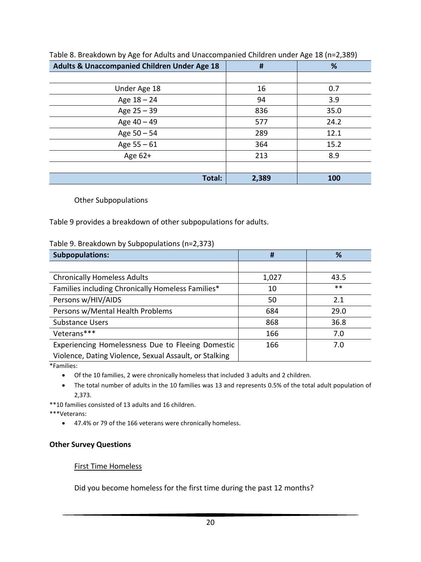| <b>Adults &amp; Unaccompanied Children Under Age 18</b> | #     | %    |
|---------------------------------------------------------|-------|------|
|                                                         |       |      |
| Under Age 18                                            | 16    | 0.7  |
| Age $18 - 24$                                           | 94    | 3.9  |
| Age $25 - 39$                                           | 836   | 35.0 |
| Age $40 - 49$                                           | 577   | 24.2 |
| Age $50 - 54$                                           | 289   | 12.1 |
| Age $55 - 61$                                           | 364   | 15.2 |
| Age 62+                                                 | 213   | 8.9  |
|                                                         |       |      |
| Total:                                                  | 2,389 | 100  |

Table 8. Breakdown by Age for Adults and Unaccompanied Children under Age 18 (n=2,389)

#### Other Subpopulations

Table 9 provides a breakdown of other subpopulations for adults.

#### Table 9. Breakdown by Subpopulations (n=2,373)

| <b>Subpopulations:</b>                                 | #     | %     |
|--------------------------------------------------------|-------|-------|
|                                                        |       |       |
| <b>Chronically Homeless Adults</b>                     | 1,027 | 43.5  |
| Families including Chronically Homeless Families*      | 10    | $***$ |
| Persons w/HIV/AIDS                                     | 50    | 2.1   |
| Persons w/Mental Health Problems                       | 684   | 29.0  |
| <b>Substance Users</b>                                 | 868   | 36.8  |
| Veterans***                                            | 166   | 7.0   |
| Experiencing Homelessness Due to Fleeing Domestic      | 166   | 7.0   |
| Violence, Dating Violence, Sexual Assault, or Stalking |       |       |

\*Families:

- Of the 10 families, 2 were chronically homeless that included 3 adults and 2 children.
- The total number of adults in the 10 families was 13 and represents 0.5% of the total adult population of 2,373.

\*\*10 families consisted of 13 adults and 16 children.

\*\*\*Veterans:

• 47.4% or 79 of the 166 veterans were chronically homeless.

#### **Other Survey Questions**

#### First Time Homeless

Did you become homeless for the first time during the past 12 months?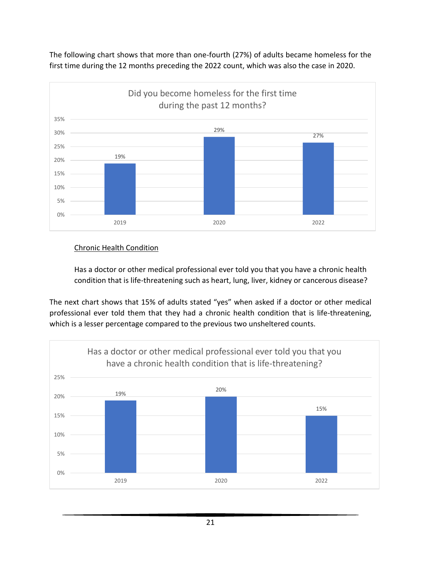The following chart shows that more than one-fourth (27%) of adults became homeless for the first time during the 12 months preceding the 2022 count, which was also the case in 2020.



#### Chronic Health Condition

Has a doctor or other medical professional ever told you that you have a chronic health condition that is life-threatening such as heart, lung, liver, kidney or cancerous disease?

The next chart shows that 15% of adults stated "yes" when asked if a doctor or other medical professional ever told them that they had a chronic health condition that is life-threatening, which is a lesser percentage compared to the previous two unsheltered counts.



21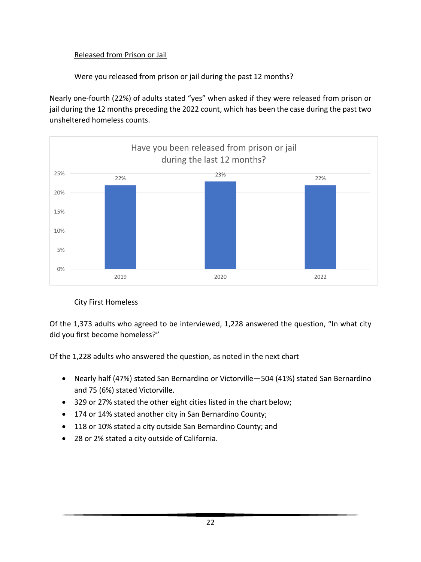#### Released from Prison or Jail

Were you released from prison or jail during the past 12 months?

Nearly one-fourth (22%) of adults stated "yes" when asked if they were released from prison or jail during the 12 months preceding the 2022 count, which has been the case during the past two unsheltered homeless counts.



### City First Homeless

Of the 1,373 adults who agreed to be interviewed, 1,228 answered the question, "In what city did you first become homeless?"

Of the 1,228 adults who answered the question, as noted in the next chart

- Nearly half (47%) stated San Bernardino or Victorville—504 (41%) stated San Bernardino and 75 (6%) stated Victorville.
- 329 or 27% stated the other eight cities listed in the chart below;
- 174 or 14% stated another city in San Bernardino County;
- 118 or 10% stated a city outside San Bernardino County; and
- 28 or 2% stated a city outside of California.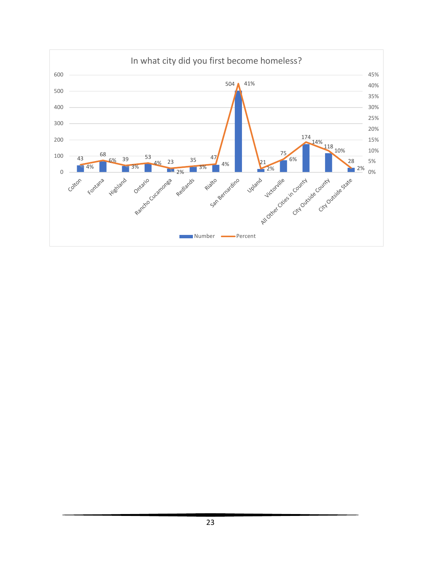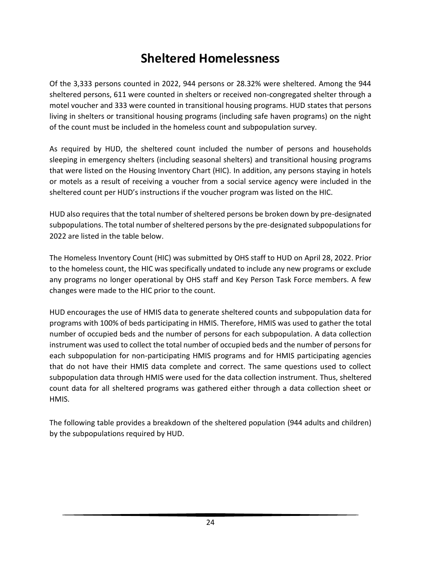# **Sheltered Homelessness**

Of the 3,333 persons counted in 2022, 944 persons or 28.32% were sheltered. Among the 944 sheltered persons, 611 were counted in shelters or received non-congregated shelter through a motel voucher and 333 were counted in transitional housing programs. HUD states that persons living in shelters or transitional housing programs (including safe haven programs) on the night of the count must be included in the homeless count and subpopulation survey.

As required by HUD, the sheltered count included the number of persons and households sleeping in emergency shelters (including seasonal shelters) and transitional housing programs that were listed on the Housing Inventory Chart (HIC). In addition, any persons staying in hotels or motels as a result of receiving a voucher from a social service agency were included in the sheltered count per HUD's instructions if the voucher program was listed on the HIC.

HUD also requires that the total number of sheltered persons be broken down by pre-designated subpopulations. The total number of sheltered persons by the pre-designated subpopulations for 2022 are listed in the table below.

The Homeless Inventory Count (HIC) was submitted by OHS staff to HUD on April 28, 2022. Prior to the homeless count, the HIC was specifically undated to include any new programs or exclude any programs no longer operational by OHS staff and Key Person Task Force members. A few changes were made to the HIC prior to the count.

HUD encourages the use of HMIS data to generate sheltered counts and subpopulation data for programs with 100% of beds participating in HMIS. Therefore, HMIS was used to gather the total number of occupied beds and the number of persons for each subpopulation. A data collection instrument was used to collect the total number of occupied beds and the number of persons for each subpopulation for non-participating HMIS programs and for HMIS participating agencies that do not have their HMIS data complete and correct. The same questions used to collect subpopulation data through HMIS were used for the data collection instrument. Thus, sheltered count data for all sheltered programs was gathered either through a data collection sheet or HMIS.

The following table provides a breakdown of the sheltered population (944 adults and children) by the subpopulations required by HUD.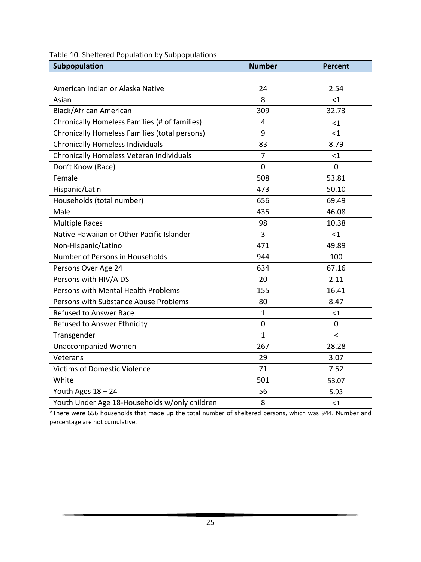| Subpopulation                                 | <b>Number</b> | <b>Percent</b> |
|-----------------------------------------------|---------------|----------------|
|                                               |               |                |
| American Indian or Alaska Native              | 24            | 2.54           |
| Asian                                         | 8             | $<$ 1          |
| <b>Black/African American</b>                 | 309           | 32.73          |
| Chronically Homeless Families (# of families) | 4             | $<$ 1          |
| Chronically Homeless Families (total persons) | 9             | $\leq$ 1       |
| <b>Chronically Homeless Individuals</b>       | 83            | 8.79           |
| Chronically Homeless Veteran Individuals      | 7             | $<$ 1          |
| Don't Know (Race)                             | 0             | 0              |
| Female                                        | 508           | 53.81          |
| Hispanic/Latin                                | 473           | 50.10          |
| Households (total number)                     | 656           | 69.49          |
| Male                                          | 435           | 46.08          |
| <b>Multiple Races</b>                         | 98            | 10.38          |
| Native Hawaiian or Other Pacific Islander     | 3             | <1             |
| Non-Hispanic/Latino                           | 471           | 49.89          |
| Number of Persons in Households               | 944           | 100            |
| Persons Over Age 24                           | 634           | 67.16          |
| Persons with HIV/AIDS                         | 20            | 2.11           |
| Persons with Mental Health Problems           | 155           | 16.41          |
| Persons with Substance Abuse Problems         | 80            | 8.47           |
| <b>Refused to Answer Race</b>                 | 1             | ${<}1$         |
| Refused to Answer Ethnicity                   | 0             | 0              |
| Transgender                                   | $\mathbf{1}$  | $\,<\,$        |
| <b>Unaccompanied Women</b>                    | 267           | 28.28          |
| Veterans                                      | 29            | 3.07           |
| <b>Victims of Domestic Violence</b>           | 71            | 7.52           |
| White                                         | 501           | 53.07          |
| Youth Ages 18 - 24                            | 56            | 5.93           |
| Youth Under Age 18-Households w/only children | 8             | $<$ 1          |

Table 10. Sheltered Population by Subpopulations

\*There were 656 households that made up the total number of sheltered persons, which was 944. Number and percentage are not cumulative.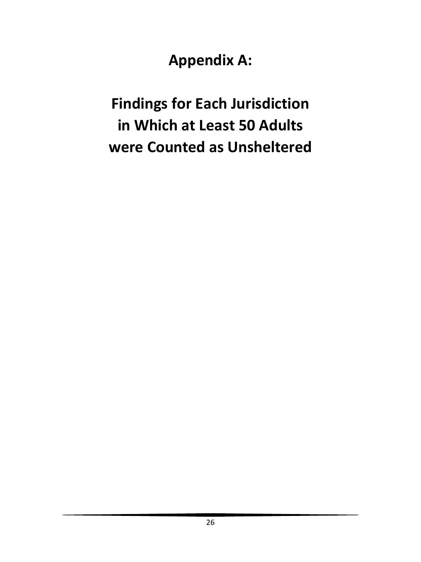**Appendix A:** 

**Findings for Each Jurisdiction in Which at Least 50 Adults were Counted as Unsheltered**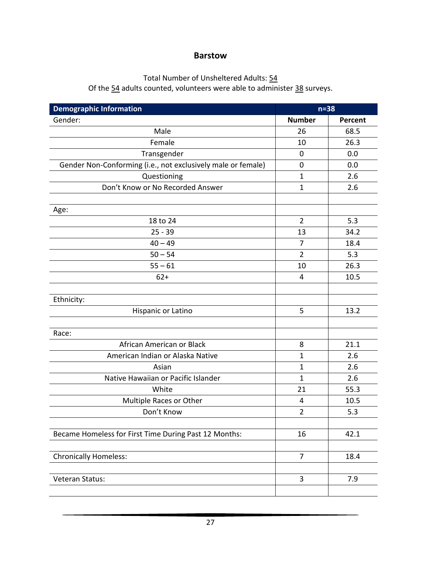#### **Barstow**

#### Total Number of Unsheltered Adults: 54

Of the 54 adults counted, volunteers were able to administer 38 surveys.

| <b>Demographic Information</b>                               | $n = 38$       |         |
|--------------------------------------------------------------|----------------|---------|
| Gender:                                                      | <b>Number</b>  | Percent |
| Male                                                         | 26             | 68.5    |
| Female                                                       | 10             | 26.3    |
| Transgender                                                  | $\mathbf 0$    | 0.0     |
| Gender Non-Conforming (i.e., not exclusively male or female) | 0              | 0.0     |
| Questioning                                                  | $\mathbf 1$    | 2.6     |
| Don't Know or No Recorded Answer                             | $\mathbf{1}$   | 2.6     |
|                                                              |                |         |
| Age:                                                         |                |         |
| 18 to 24                                                     | $\overline{2}$ | 5.3     |
| $25 - 39$                                                    | 13             | 34.2    |
| $40 - 49$                                                    | 7              | 18.4    |
| $50 - 54$                                                    | $\overline{2}$ | 5.3     |
| $55 - 61$                                                    | 10             | 26.3    |
| $62+$                                                        | 4              | 10.5    |
|                                                              |                |         |
| Ethnicity:                                                   |                |         |
| Hispanic or Latino                                           | 5              | 13.2    |
|                                                              |                |         |
| Race:                                                        |                |         |
| African American or Black                                    | 8              | 21.1    |
| American Indian or Alaska Native                             | $\mathbf{1}$   | 2.6     |
| Asian                                                        | $\mathbf 1$    | 2.6     |
| Native Hawaiian or Pacific Islander                          | $\mathbf 1$    | 2.6     |
| White                                                        | 21             | 55.3    |
| Multiple Races or Other                                      | 4              | 10.5    |
| Don't Know                                                   | $\overline{2}$ | 5.3     |
|                                                              |                |         |
| Became Homeless for First Time During Past 12 Months:        | 16             | 42.1    |
|                                                              |                |         |
| <b>Chronically Homeless:</b>                                 | $\overline{7}$ | 18.4    |
|                                                              |                |         |
| Veteran Status:                                              | 3              | 7.9     |
|                                                              |                |         |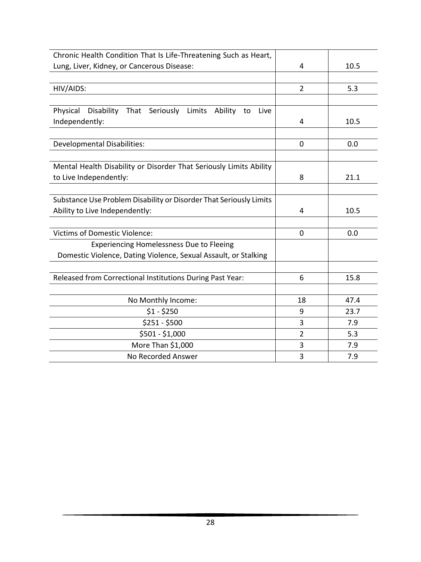| Chronic Health Condition That Is Life-Threatening Such as Heart,   |                |      |
|--------------------------------------------------------------------|----------------|------|
| Lung, Liver, Kidney, or Cancerous Disease:                         | 4              | 10.5 |
|                                                                    |                |      |
| HIV/AIDS:                                                          | $\overline{2}$ | 5.3  |
|                                                                    |                |      |
| Physical<br>Disability That Seriously Limits Ability to<br>Live    |                |      |
| Independently:                                                     | 4              | 10.5 |
|                                                                    |                |      |
| <b>Developmental Disabilities:</b>                                 | $\mathbf 0$    | 0.0  |
|                                                                    |                |      |
| Mental Health Disability or Disorder That Seriously Limits Ability |                |      |
| to Live Independently:                                             | 8              | 21.1 |
|                                                                    |                |      |
| Substance Use Problem Disability or Disorder That Seriously Limits |                |      |
| Ability to Live Independently:                                     | 4              | 10.5 |
|                                                                    |                |      |
| <b>Victims of Domestic Violence:</b>                               | $\Omega$       | 0.0  |
| Experiencing Homelessness Due to Fleeing                           |                |      |
| Domestic Violence, Dating Violence, Sexual Assault, or Stalking    |                |      |
|                                                                    |                |      |
| Released from Correctional Institutions During Past Year:          | 6              | 15.8 |
|                                                                    |                |      |
| No Monthly Income:                                                 | 18             | 47.4 |
| $$1 - $250$                                                        | 9              | 23.7 |
| $$251 - $500$                                                      | 3              | 7.9  |
| \$501 - \$1,000                                                    | $\overline{2}$ | 5.3  |
| More Than \$1,000                                                  | 3              | 7.9  |
| No Recorded Answer                                                 | 3              | 7.9  |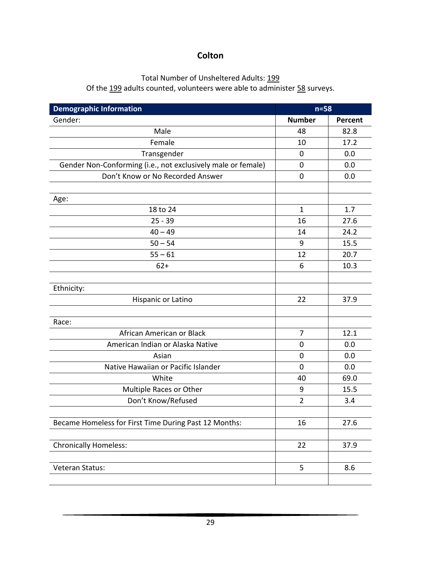# **Colton**

#### Total Number of Unsheltered Adults: 199

Of the 199 adults counted, volunteers were able to administer 58 surveys.

| <b>Demographic Information</b>                               | $n=58$         |         |
|--------------------------------------------------------------|----------------|---------|
| Gender:                                                      | <b>Number</b>  | Percent |
| Male                                                         | 48             | 82.8    |
| Female                                                       | 10             | 17.2    |
| Transgender                                                  | 0              | 0.0     |
| Gender Non-Conforming (i.e., not exclusively male or female) | 0              | 0.0     |
| Don't Know or No Recorded Answer                             | $\mathbf 0$    | 0.0     |
|                                                              |                |         |
| Age:                                                         |                |         |
| 18 to 24                                                     | $\mathbf{1}$   | 1.7     |
| $25 - 39$                                                    | 16             | 27.6    |
| $40 - 49$                                                    | 14             | 24.2    |
| $50 - 54$                                                    | 9              | 15.5    |
| $55 - 61$                                                    | 12             | 20.7    |
| $62+$                                                        | 6              | 10.3    |
|                                                              |                |         |
| Ethnicity:                                                   |                |         |
| Hispanic or Latino                                           | 22             | 37.9    |
|                                                              |                |         |
| Race:                                                        |                |         |
| African American or Black                                    | $\overline{7}$ | 12.1    |
| American Indian or Alaska Native                             | $\mathbf 0$    | 0.0     |
| Asian                                                        | $\mathbf 0$    | 0.0     |
| Native Hawaiian or Pacific Islander                          | $\mathbf 0$    | 0.0     |
| White                                                        | 40             | 69.0    |
| Multiple Races or Other                                      | 9              | 15.5    |
| Don't Know/Refused                                           | $\overline{2}$ | 3.4     |
|                                                              |                |         |
| Became Homeless for First Time During Past 12 Months:        | 16             | 27.6    |
|                                                              |                |         |
| <b>Chronically Homeless:</b>                                 | 22             | 37.9    |
|                                                              |                |         |
| Veteran Status:                                              | 5              | 8.6     |
|                                                              |                |         |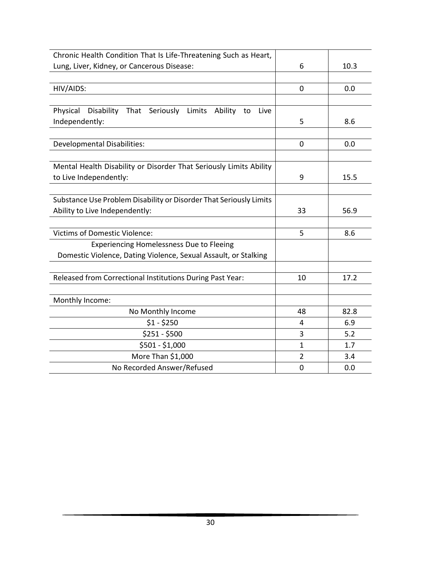| Chronic Health Condition That Is Life-Threatening Such as Heart,         |                |      |
|--------------------------------------------------------------------------|----------------|------|
| Lung, Liver, Kidney, or Cancerous Disease:                               | 6              | 10.3 |
|                                                                          |                |      |
| HIV/AIDS:                                                                | $\mathbf 0$    | 0.0  |
|                                                                          |                |      |
| Physical<br>Disability That<br>Seriously Limits<br>Ability<br>to<br>Live |                |      |
| Independently:                                                           | 5              | 8.6  |
|                                                                          |                |      |
| <b>Developmental Disabilities:</b>                                       | $\mathbf{0}$   | 0.0  |
|                                                                          |                |      |
| Mental Health Disability or Disorder That Seriously Limits Ability       |                |      |
| to Live Independently:                                                   | 9              | 15.5 |
|                                                                          |                |      |
| Substance Use Problem Disability or Disorder That Seriously Limits       |                |      |
| Ability to Live Independently:                                           | 33             | 56.9 |
|                                                                          |                |      |
| <b>Victims of Domestic Violence:</b>                                     | 5              | 8.6  |
| <b>Experiencing Homelessness Due to Fleeing</b>                          |                |      |
| Domestic Violence, Dating Violence, Sexual Assault, or Stalking          |                |      |
|                                                                          |                |      |
| Released from Correctional Institutions During Past Year:                | 10             | 17.2 |
|                                                                          |                |      |
| Monthly Income:                                                          |                |      |
| No Monthly Income                                                        | 48             | 82.8 |
| $$1 - $250$                                                              | 4              | 6.9  |
| $$251 - $500$                                                            | 3              | 5.2  |
| \$501 - \$1,000                                                          | $\mathbf{1}$   | 1.7  |
| More Than \$1,000                                                        | $\overline{2}$ | 3.4  |
| No Recorded Answer/Refused                                               | $\mathbf 0$    | 0.0  |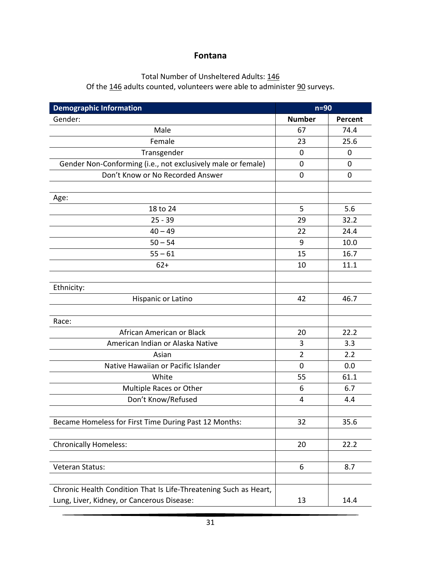#### **Fontana**

# Total Number of Unsheltered Adults: 146

Of the 146 adults counted, volunteers were able to administer 90 surveys.

| <b>Demographic Information</b>                                   | $n=90$         |             |
|------------------------------------------------------------------|----------------|-------------|
| Gender:                                                          | <b>Number</b>  | Percent     |
| Male                                                             | 67             | 74.4        |
| Female                                                           | 23             | 25.6        |
| Transgender                                                      | $\mathbf 0$    | $\mathbf 0$ |
| Gender Non-Conforming (i.e., not exclusively male or female)     | 0              | 0           |
| Don't Know or No Recorded Answer                                 | 0              | $\mathbf 0$ |
|                                                                  |                |             |
| Age:                                                             |                |             |
| 18 to 24                                                         | 5              | 5.6         |
| $25 - 39$                                                        | 29             | 32.2        |
| $40 - 49$                                                        | 22             | 24.4        |
| $50 - 54$                                                        | 9              | 10.0        |
| $55 - 61$                                                        | 15             | 16.7        |
| $62+$                                                            | 10             | 11.1        |
|                                                                  |                |             |
| Ethnicity:                                                       |                |             |
| Hispanic or Latino                                               | 42             | 46.7        |
|                                                                  |                |             |
| Race:                                                            |                |             |
| African American or Black                                        | 20             | 22.2        |
| American Indian or Alaska Native                                 | 3              | 3.3         |
| Asian                                                            | $\overline{2}$ | 2.2         |
| Native Hawaiian or Pacific Islander                              | $\mathbf 0$    | 0.0         |
| White                                                            | 55             | 61.1        |
| Multiple Races or Other                                          | 6              | 6.7         |
| Don't Know/Refused                                               | 4              | 4.4         |
|                                                                  |                |             |
| Became Homeless for First Time During Past 12 Months:            | 32             | 35.6        |
|                                                                  |                |             |
| <b>Chronically Homeless:</b>                                     | 20             | 22.2        |
|                                                                  |                |             |
| Veteran Status:                                                  | 6              | 8.7         |
|                                                                  |                |             |
| Chronic Health Condition That Is Life-Threatening Such as Heart, |                |             |
| Lung, Liver, Kidney, or Cancerous Disease:                       | 13             | 14.4        |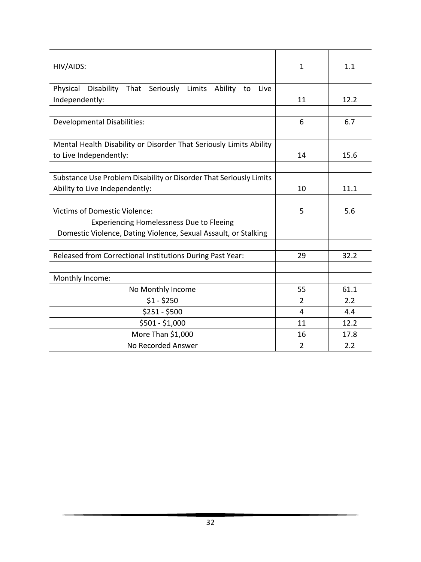| HIV/AIDS:                                                          | $\mathbf{1}$   | 1.1  |
|--------------------------------------------------------------------|----------------|------|
|                                                                    |                |      |
| Physical<br>Disability That Seriously Limits Ability to<br>Live    |                |      |
| Independently:                                                     | 11             | 12.2 |
|                                                                    |                |      |
| <b>Developmental Disabilities:</b>                                 | 6              | 6.7  |
|                                                                    |                |      |
| Mental Health Disability or Disorder That Seriously Limits Ability |                |      |
| to Live Independently:                                             | 14             | 15.6 |
|                                                                    |                |      |
| Substance Use Problem Disability or Disorder That Seriously Limits |                |      |
| Ability to Live Independently:                                     | 10             | 11.1 |
|                                                                    |                |      |
| <b>Victims of Domestic Violence:</b>                               | 5              | 5.6  |
| Experiencing Homelessness Due to Fleeing                           |                |      |
| Domestic Violence, Dating Violence, Sexual Assault, or Stalking    |                |      |
|                                                                    |                |      |
| Released from Correctional Institutions During Past Year:          | 29             | 32.2 |
|                                                                    |                |      |
| Monthly Income:                                                    |                |      |
| No Monthly Income                                                  | 55             | 61.1 |
| $$1 - $250$                                                        | 2              | 2.2  |
| $$251 - $500$                                                      | 4              | 4.4  |
| \$501 - \$1,000                                                    | 11             | 12.2 |
| More Than \$1,000                                                  | 16             | 17.8 |
| No Recorded Answer                                                 | $\overline{2}$ | 2.2  |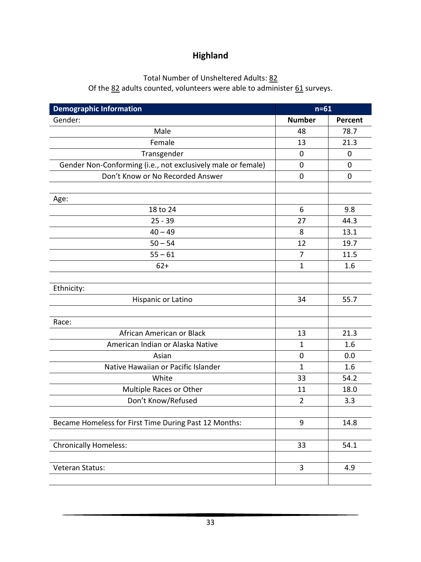# **Highland**

# Total Number of Unsheltered Adults: 82

Of the  $\underline{82}$  adults counted, volunteers were able to administer  $\underline{61}$  surveys.

| <b>Demographic Information</b>                               | $n=61$         |             |
|--------------------------------------------------------------|----------------|-------------|
| Gender:                                                      | <b>Number</b>  | Percent     |
| Male                                                         | 48             | 78.7        |
| Female                                                       | 13             | 21.3        |
| Transgender                                                  | $\mathbf 0$    | $\mathbf 0$ |
| Gender Non-Conforming (i.e., not exclusively male or female) | $\mathbf 0$    | $\mathbf 0$ |
| Don't Know or No Recorded Answer                             | $\mathbf 0$    | $\mathbf 0$ |
|                                                              |                |             |
| Age:                                                         |                |             |
| 18 to 24                                                     | 6              | 9.8         |
| $25 - 39$                                                    | 27             | 44.3        |
| $40 - 49$                                                    | 8              | 13.1        |
| $50 - 54$                                                    | 12             | 19.7        |
| $55 - 61$                                                    | $\overline{7}$ | 11.5        |
| $62+$                                                        | $\mathbf{1}$   | 1.6         |
|                                                              |                |             |
| Ethnicity:                                                   |                |             |
| Hispanic or Latino                                           | 34             | 55.7        |
|                                                              |                |             |
| Race:                                                        |                |             |
| African American or Black                                    | 13             | 21.3        |
| American Indian or Alaska Native                             | 1              | 1.6         |
| Asian                                                        | $\mathbf 0$    | 0.0         |
| Native Hawaiian or Pacific Islander                          | $\mathbf{1}$   | 1.6         |
| White                                                        | 33             | 54.2        |
| Multiple Races or Other                                      | 11             | 18.0        |
| Don't Know/Refused                                           | $\overline{2}$ | 3.3         |
|                                                              |                |             |
| Became Homeless for First Time During Past 12 Months:        | 9              | 14.8        |
|                                                              |                |             |
| <b>Chronically Homeless:</b>                                 | 33             | 54.1        |
|                                                              |                |             |
| Veteran Status:                                              | 3              | 4.9         |
|                                                              |                |             |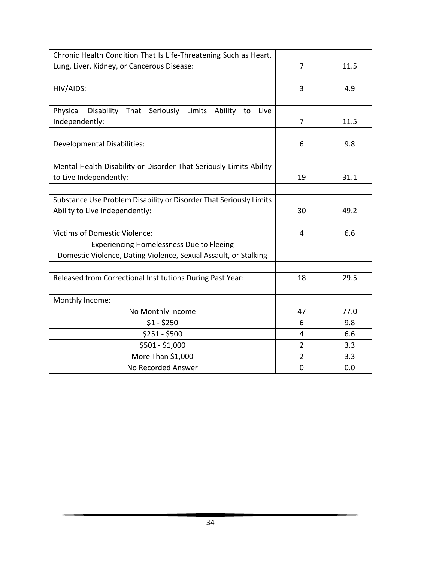| Chronic Health Condition That Is Life-Threatening Such as Heart,         |                |      |
|--------------------------------------------------------------------------|----------------|------|
| Lung, Liver, Kidney, or Cancerous Disease:                               | 7              | 11.5 |
|                                                                          |                |      |
| HIV/AIDS:                                                                | 3              | 4.9  |
|                                                                          |                |      |
| Physical<br>Disability That<br>Seriously Limits<br>Ability<br>to<br>Live |                |      |
| Independently:                                                           | 7              | 11.5 |
|                                                                          |                |      |
| <b>Developmental Disabilities:</b>                                       | 6              | 9.8  |
|                                                                          |                |      |
| Mental Health Disability or Disorder That Seriously Limits Ability       |                |      |
| to Live Independently:                                                   | 19             | 31.1 |
|                                                                          |                |      |
| Substance Use Problem Disability or Disorder That Seriously Limits       |                |      |
| Ability to Live Independently:                                           | 30             | 49.2 |
|                                                                          |                |      |
| <b>Victims of Domestic Violence:</b>                                     | 4              | 6.6  |
| <b>Experiencing Homelessness Due to Fleeing</b>                          |                |      |
| Domestic Violence, Dating Violence, Sexual Assault, or Stalking          |                |      |
|                                                                          |                |      |
| Released from Correctional Institutions During Past Year:                | 18             | 29.5 |
|                                                                          |                |      |
| Monthly Income:                                                          |                |      |
| No Monthly Income                                                        | 47             | 77.0 |
| $$1 - $250$                                                              | 6              | 9.8  |
| $$251 - $500$                                                            | $\overline{4}$ | 6.6  |
| \$501 - \$1,000                                                          | $\overline{2}$ | 3.3  |
| More Than \$1,000                                                        | 2              | 3.3  |
| No Recorded Answer                                                       | $\mathbf 0$    | 0.0  |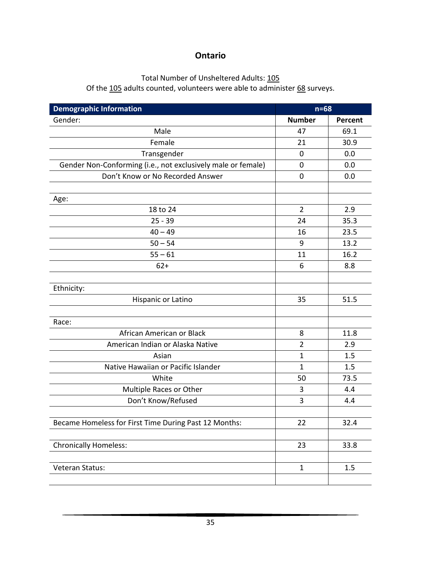### **Ontario**

# Total Number of Unsheltered Adults: 105

Of the 105 adults counted, volunteers were able to administer 68 surveys.

| <b>Demographic Information</b>                               | $n=68$         |         |
|--------------------------------------------------------------|----------------|---------|
| Gender:                                                      | <b>Number</b>  | Percent |
| Male                                                         | 47             | 69.1    |
| Female                                                       | 21             | 30.9    |
| Transgender                                                  | $\mathbf 0$    | 0.0     |
| Gender Non-Conforming (i.e., not exclusively male or female) | 0              | 0.0     |
| Don't Know or No Recorded Answer                             | $\mathbf 0$    | 0.0     |
|                                                              |                |         |
| Age:                                                         |                |         |
| 18 to 24                                                     | $\overline{2}$ | 2.9     |
| $25 - 39$                                                    | 24             | 35.3    |
| $40 - 49$                                                    | 16             | 23.5    |
| $50 - 54$                                                    | 9              | 13.2    |
| $55 - 61$                                                    | 11             | 16.2    |
| $62+$                                                        | 6              | 8.8     |
|                                                              |                |         |
| Ethnicity:                                                   |                |         |
| Hispanic or Latino                                           | 35             | 51.5    |
|                                                              |                |         |
| Race:                                                        |                |         |
| African American or Black                                    | 8              | 11.8    |
| American Indian or Alaska Native                             | $\overline{2}$ | 2.9     |
| Asian                                                        | $\mathbf 1$    | 1.5     |
| Native Hawaiian or Pacific Islander                          | $\mathbf 1$    | 1.5     |
| White                                                        | 50             | 73.5    |
| Multiple Races or Other                                      | 3              | 4.4     |
| Don't Know/Refused                                           | 3              | 4.4     |
|                                                              |                |         |
| Became Homeless for First Time During Past 12 Months:        | 22             | 32.4    |
|                                                              |                |         |
| <b>Chronically Homeless:</b>                                 | 23             | 33.8    |
|                                                              |                |         |
| Veteran Status:                                              | $\mathbf{1}$   | 1.5     |
|                                                              |                |         |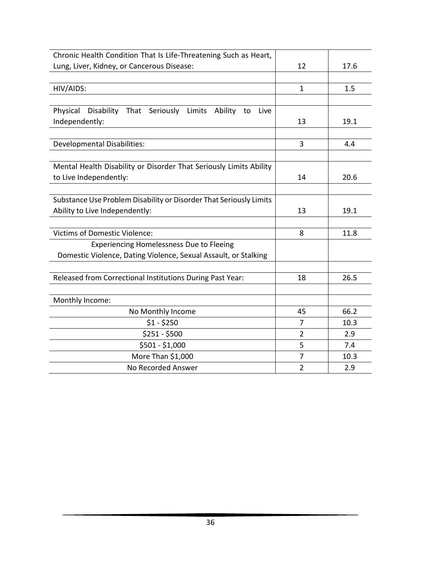| Chronic Health Condition That Is Life-Threatening Such as Heart,         |                |      |
|--------------------------------------------------------------------------|----------------|------|
| Lung, Liver, Kidney, or Cancerous Disease:                               | 12             | 17.6 |
|                                                                          |                |      |
| HIV/AIDS:                                                                | $\mathbf{1}$   | 1.5  |
|                                                                          |                |      |
| Physical<br>Disability That<br>Seriously Limits<br>Ability<br>to<br>Live |                |      |
| Independently:                                                           | 13             | 19.1 |
|                                                                          |                |      |
| <b>Developmental Disabilities:</b>                                       | 3              | 4.4  |
|                                                                          |                |      |
| Mental Health Disability or Disorder That Seriously Limits Ability       |                |      |
| to Live Independently:                                                   | 14             | 20.6 |
|                                                                          |                |      |
| Substance Use Problem Disability or Disorder That Seriously Limits       |                |      |
| Ability to Live Independently:                                           | 13             | 19.1 |
|                                                                          |                |      |
| <b>Victims of Domestic Violence:</b>                                     | 8              | 11.8 |
| <b>Experiencing Homelessness Due to Fleeing</b>                          |                |      |
| Domestic Violence, Dating Violence, Sexual Assault, or Stalking          |                |      |
|                                                                          |                |      |
| Released from Correctional Institutions During Past Year:                | 18             | 26.5 |
|                                                                          |                |      |
| Monthly Income:                                                          |                |      |
| No Monthly Income                                                        | 45             | 66.2 |
| $$1 - $250$                                                              | 7              | 10.3 |
| $$251 - $500$                                                            | $\overline{2}$ | 2.9  |
| \$501 - \$1,000                                                          | 5              | 7.4  |
| More Than \$1,000                                                        | $\overline{7}$ | 10.3 |
| No Recorded Answer                                                       | $\overline{2}$ | 2.9  |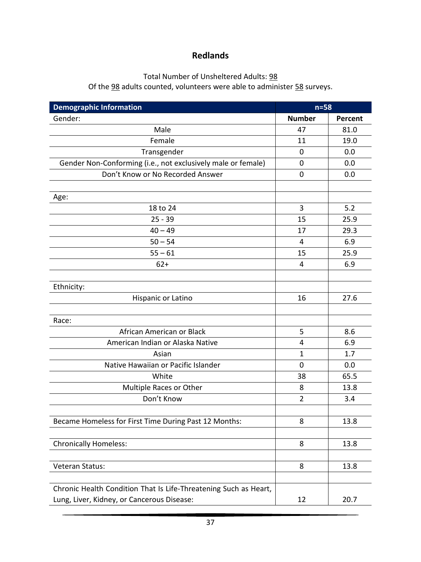# **Redlands**

# Total Number of Unsheltered Adults: 98

Of the  $\underline{98}$  adults counted, volunteers were able to administer  $\underline{58}$  surveys.

| <b>Demographic Information</b>                                   | $n = 58$       |         |
|------------------------------------------------------------------|----------------|---------|
| Gender:                                                          | <b>Number</b>  | Percent |
| Male                                                             | 47             | 81.0    |
| Female                                                           | 11             | 19.0    |
| Transgender                                                      | 0              | 0.0     |
| Gender Non-Conforming (i.e., not exclusively male or female)     | 0              | 0.0     |
| Don't Know or No Recorded Answer                                 | $\mathbf 0$    | 0.0     |
|                                                                  |                |         |
| Age:                                                             |                |         |
| 18 to 24                                                         | 3              | 5.2     |
| $25 - 39$                                                        | 15             | 25.9    |
| $40 - 49$                                                        | 17             | 29.3    |
| $50 - 54$                                                        | 4              | 6.9     |
| $55 - 61$                                                        | 15             | 25.9    |
| $62+$                                                            | 4              | 6.9     |
|                                                                  |                |         |
| Ethnicity:                                                       |                |         |
| Hispanic or Latino                                               | 16             | 27.6    |
|                                                                  |                |         |
| Race:                                                            |                |         |
| African American or Black                                        | 5              | 8.6     |
| American Indian or Alaska Native                                 | 4              | 6.9     |
| Asian                                                            | 1              | 1.7     |
| Native Hawaiian or Pacific Islander                              | $\mathbf 0$    | 0.0     |
| White                                                            | 38             | 65.5    |
| Multiple Races or Other                                          | 8              | 13.8    |
| Don't Know                                                       | $\overline{2}$ | 3.4     |
|                                                                  |                |         |
| Became Homeless for First Time During Past 12 Months:            | 8              | 13.8    |
|                                                                  |                |         |
| <b>Chronically Homeless:</b>                                     | 8              | 13.8    |
|                                                                  |                |         |
| Veteran Status:                                                  | 8              | 13.8    |
|                                                                  |                |         |
| Chronic Health Condition That Is Life-Threatening Such as Heart, |                |         |
| Lung, Liver, Kidney, or Cancerous Disease:                       | 12             | 20.7    |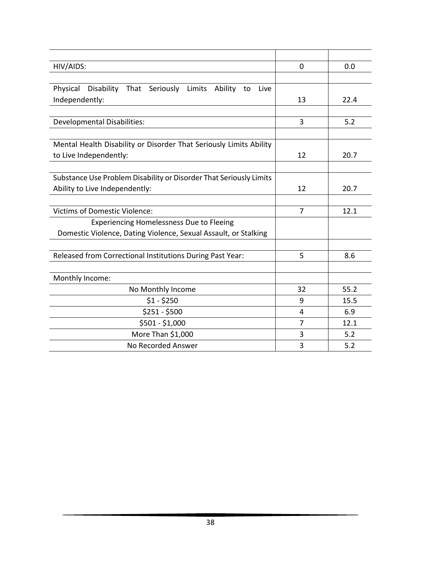| HIV/AIDS:                                                          | 0              | 0.0  |
|--------------------------------------------------------------------|----------------|------|
|                                                                    |                |      |
| Physical<br>Disability That Seriously Limits Ability to<br>Live    |                |      |
| Independently:                                                     | 13             | 22.4 |
|                                                                    |                |      |
| <b>Developmental Disabilities:</b>                                 | 3              | 5.2  |
|                                                                    |                |      |
| Mental Health Disability or Disorder That Seriously Limits Ability |                |      |
| to Live Independently:                                             | 12             | 20.7 |
|                                                                    |                |      |
| Substance Use Problem Disability or Disorder That Seriously Limits |                |      |
| Ability to Live Independently:                                     | 12             | 20.7 |
|                                                                    |                |      |
| <b>Victims of Domestic Violence:</b>                               | 7              | 12.1 |
| <b>Experiencing Homelessness Due to Fleeing</b>                    |                |      |
| Domestic Violence, Dating Violence, Sexual Assault, or Stalking    |                |      |
|                                                                    |                |      |
| Released from Correctional Institutions During Past Year:          | 5              | 8.6  |
|                                                                    |                |      |
| Monthly Income:                                                    |                |      |
| No Monthly Income                                                  | 32             | 55.2 |
| $$1 - $250$                                                        | 9              | 15.5 |
| $$251 - $500$                                                      | 4              | 6.9  |
| \$501 - \$1,000                                                    | $\overline{7}$ | 12.1 |
| More Than \$1,000                                                  | 3              | 5.2  |
| No Recorded Answer                                                 | 3              | 5.2  |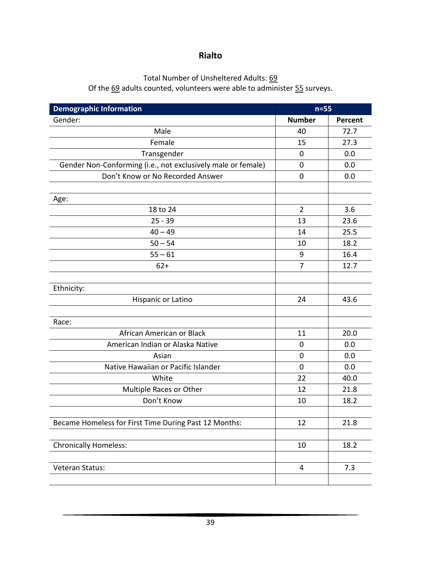### **Rialto**

#### Total Number of Unsheltered Adults: 69

Of the 69 adults counted, volunteers were able to administer 55 surveys.

| <b>Demographic Information</b>                               | $n=55$         |         |
|--------------------------------------------------------------|----------------|---------|
| Gender:                                                      | <b>Number</b>  | Percent |
| Male                                                         | 40             | 72.7    |
| Female                                                       | 15             | 27.3    |
| Transgender                                                  | $\mathbf 0$    | 0.0     |
| Gender Non-Conforming (i.e., not exclusively male or female) | 0              | 0.0     |
| Don't Know or No Recorded Answer                             | $\mathbf 0$    | 0.0     |
|                                                              |                |         |
| Age:                                                         |                |         |
| 18 to 24                                                     | $\overline{2}$ | 3.6     |
| $25 - 39$                                                    | 13             | 23.6    |
| $40 - 49$                                                    | 14             | 25.5    |
| $50 - 54$                                                    | 10             | 18.2    |
| $55 - 61$                                                    | 9              | 16.4    |
| $62+$                                                        | $\overline{7}$ | 12.7    |
|                                                              |                |         |
| Ethnicity:                                                   |                |         |
| Hispanic or Latino                                           | 24             | 43.6    |
|                                                              |                |         |
| Race:                                                        |                |         |
| African American or Black                                    | 11             | 20.0    |
| American Indian or Alaska Native                             | 0              | 0.0     |
| Asian                                                        | $\mathbf 0$    | 0.0     |
| Native Hawaiian or Pacific Islander                          | $\mathbf 0$    | 0.0     |
| White                                                        | 22             | 40.0    |
| Multiple Races or Other                                      | 12             | 21.8    |
| Don't Know                                                   | 10             | 18.2    |
|                                                              |                |         |
| Became Homeless for First Time During Past 12 Months:        | 12             | 21.8    |
|                                                              |                |         |
| <b>Chronically Homeless:</b>                                 | 10             | 18.2    |
|                                                              |                |         |
| Veteran Status:                                              | 4              | 7.3     |
|                                                              |                |         |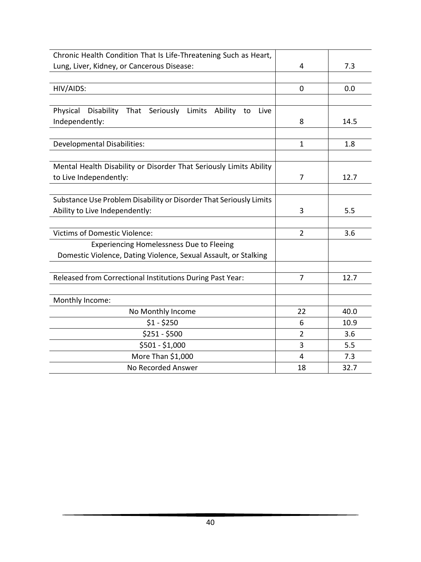| Chronic Health Condition That Is Life-Threatening Such as Heart,         |                |      |
|--------------------------------------------------------------------------|----------------|------|
| Lung, Liver, Kidney, or Cancerous Disease:                               | 4              | 7.3  |
|                                                                          |                |      |
| HIV/AIDS:                                                                | 0              | 0.0  |
|                                                                          |                |      |
| Physical<br>Disability That<br>Seriously Limits<br>Ability<br>to<br>Live |                |      |
| Independently:                                                           | 8              | 14.5 |
|                                                                          |                |      |
| <b>Developmental Disabilities:</b>                                       | $\mathbf{1}$   | 1.8  |
|                                                                          |                |      |
| Mental Health Disability or Disorder That Seriously Limits Ability       |                |      |
| to Live Independently:                                                   | 7              | 12.7 |
|                                                                          |                |      |
| Substance Use Problem Disability or Disorder That Seriously Limits       |                |      |
| Ability to Live Independently:                                           | 3              | 5.5  |
|                                                                          |                |      |
| <b>Victims of Domestic Violence:</b>                                     | $\overline{2}$ | 3.6  |
| <b>Experiencing Homelessness Due to Fleeing</b>                          |                |      |
| Domestic Violence, Dating Violence, Sexual Assault, or Stalking          |                |      |
|                                                                          |                |      |
| Released from Correctional Institutions During Past Year:                | 7              | 12.7 |
|                                                                          |                |      |
| Monthly Income:                                                          |                |      |
| No Monthly Income                                                        | 22             | 40.0 |
| $$1 - $250$                                                              | 6              | 10.9 |
| $$251 - $500$                                                            | $\overline{2}$ | 3.6  |
| \$501 - \$1,000                                                          | 3              | 5.5  |
| More Than \$1,000                                                        | 4              | 7.3  |
| No Recorded Answer                                                       | 18             | 32.7 |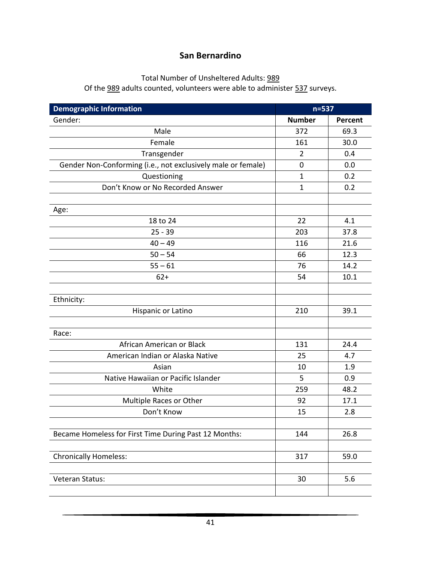### **San Bernardino**

# Total Number of Unsheltered Adults: 989

Of the 989 adults counted, volunteers were able to administer 537 surveys.

| <b>Demographic Information</b>                               | $n=537$        |         |
|--------------------------------------------------------------|----------------|---------|
| Gender:                                                      | <b>Number</b>  | Percent |
| Male                                                         | 372            | 69.3    |
| Female                                                       | 161            | 30.0    |
| Transgender                                                  | $\overline{2}$ | 0.4     |
| Gender Non-Conforming (i.e., not exclusively male or female) | 0              | 0.0     |
| Questioning                                                  | $\mathbf{1}$   | 0.2     |
| Don't Know or No Recorded Answer                             | $\mathbf{1}$   | 0.2     |
|                                                              |                |         |
| Age:                                                         |                |         |
| 18 to 24                                                     | 22             | 4.1     |
| $25 - 39$                                                    | 203            | 37.8    |
| $40 - 49$                                                    | 116            | 21.6    |
| $50 - 54$                                                    | 66             | 12.3    |
| $55 - 61$                                                    | 76             | 14.2    |
| $62+$                                                        | 54             | 10.1    |
|                                                              |                |         |
| Ethnicity:                                                   |                |         |
| Hispanic or Latino                                           | 210            | 39.1    |
|                                                              |                |         |
| Race:                                                        |                |         |
| African American or Black                                    | 131            | 24.4    |
| American Indian or Alaska Native                             | 25             | 4.7     |
| Asian                                                        | 10             | 1.9     |
| Native Hawaiian or Pacific Islander                          | 5              | 0.9     |
| White                                                        | 259            | 48.2    |
| Multiple Races or Other                                      | 92             | 17.1    |
| Don't Know                                                   | 15             | 2.8     |
|                                                              |                |         |
| Became Homeless for First Time During Past 12 Months:        | 144            | 26.8    |
|                                                              |                |         |
| <b>Chronically Homeless:</b>                                 | 317            | 59.0    |
|                                                              |                |         |
| Veteran Status:                                              | 30             | 5.6     |
|                                                              |                |         |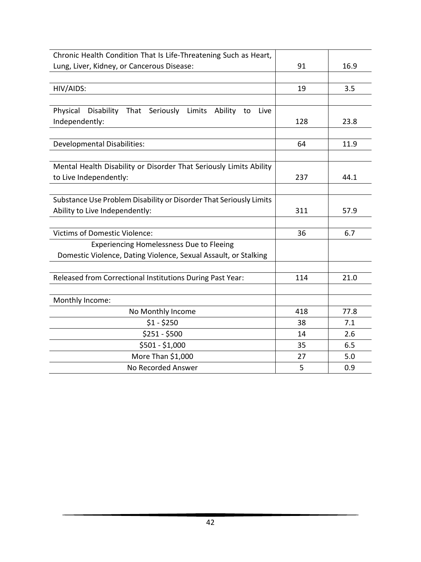| Chronic Health Condition That Is Life-Threatening Such as Heart,         |     |      |
|--------------------------------------------------------------------------|-----|------|
| Lung, Liver, Kidney, or Cancerous Disease:                               | 91  | 16.9 |
|                                                                          |     |      |
| HIV/AIDS:                                                                | 19  | 3.5  |
|                                                                          |     |      |
| Physical<br>Disability That<br>Seriously Limits<br>Ability<br>to<br>Live |     |      |
| Independently:                                                           | 128 | 23.8 |
|                                                                          |     |      |
| <b>Developmental Disabilities:</b>                                       | 64  | 11.9 |
|                                                                          |     |      |
| Mental Health Disability or Disorder That Seriously Limits Ability       |     |      |
| to Live Independently:                                                   | 237 | 44.1 |
|                                                                          |     |      |
| Substance Use Problem Disability or Disorder That Seriously Limits       |     |      |
| Ability to Live Independently:                                           | 311 | 57.9 |
|                                                                          |     |      |
| <b>Victims of Domestic Violence:</b>                                     | 36  | 6.7  |
| <b>Experiencing Homelessness Due to Fleeing</b>                          |     |      |
| Domestic Violence, Dating Violence, Sexual Assault, or Stalking          |     |      |
|                                                                          |     |      |
| Released from Correctional Institutions During Past Year:                | 114 | 21.0 |
|                                                                          |     |      |
| Monthly Income:                                                          |     |      |
| No Monthly Income                                                        | 418 | 77.8 |
| $$1 - $250$                                                              | 38  | 7.1  |
| $$251 - $500$                                                            | 14  | 2.6  |
| \$501 - \$1,000                                                          | 35  | 6.5  |
| More Than \$1,000                                                        | 27  | 5.0  |
| No Recorded Answer                                                       | 5   | 0.9  |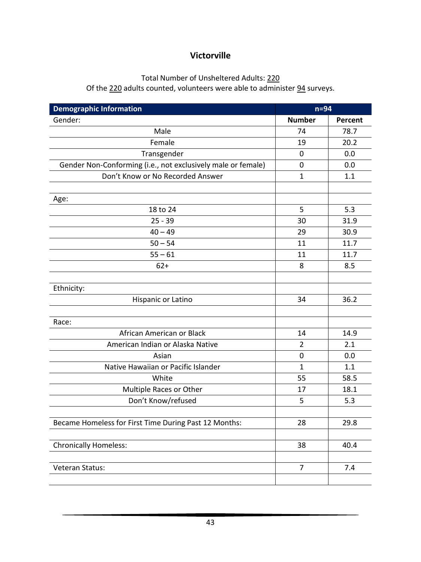# **Victorville**

# Total Number of Unsheltered Adults: 220

Of the 220 adults counted, volunteers were able to administer 94 surveys.

| <b>Demographic Information</b>                               | $n=94$         |         |
|--------------------------------------------------------------|----------------|---------|
| Gender:                                                      | <b>Number</b>  | Percent |
| Male                                                         | 74             | 78.7    |
| Female                                                       | 19             | 20.2    |
| Transgender                                                  | $\mathbf 0$    | 0.0     |
| Gender Non-Conforming (i.e., not exclusively male or female) | $\mathbf 0$    | 0.0     |
| Don't Know or No Recorded Answer                             | $\mathbf{1}$   | 1.1     |
|                                                              |                |         |
| Age:                                                         |                |         |
| 18 to 24                                                     | 5              | 5.3     |
| $25 - 39$                                                    | 30             | 31.9    |
| $40 - 49$                                                    | 29             | 30.9    |
| $50 - 54$                                                    | 11             | 11.7    |
| $55 - 61$                                                    | 11             | 11.7    |
| $62+$                                                        | 8              | 8.5     |
|                                                              |                |         |
| Ethnicity:                                                   |                |         |
| Hispanic or Latino                                           | 34             | 36.2    |
|                                                              |                |         |
| Race:                                                        |                |         |
| African American or Black                                    | 14             | 14.9    |
| American Indian or Alaska Native                             | $\overline{2}$ | 2.1     |
| Asian                                                        | $\mathbf 0$    | 0.0     |
| Native Hawaiian or Pacific Islander                          | $\mathbf{1}$   | 1.1     |
| White                                                        | 55             | 58.5    |
| Multiple Races or Other                                      | 17             | 18.1    |
| Don't Know/refused                                           | 5              | 5.3     |
|                                                              |                |         |
| Became Homeless for First Time During Past 12 Months:        | 28             | 29.8    |
|                                                              |                |         |
| <b>Chronically Homeless:</b>                                 | 38             | 40.4    |
|                                                              |                |         |
| Veteran Status:                                              | $\overline{7}$ | 7.4     |
|                                                              |                |         |